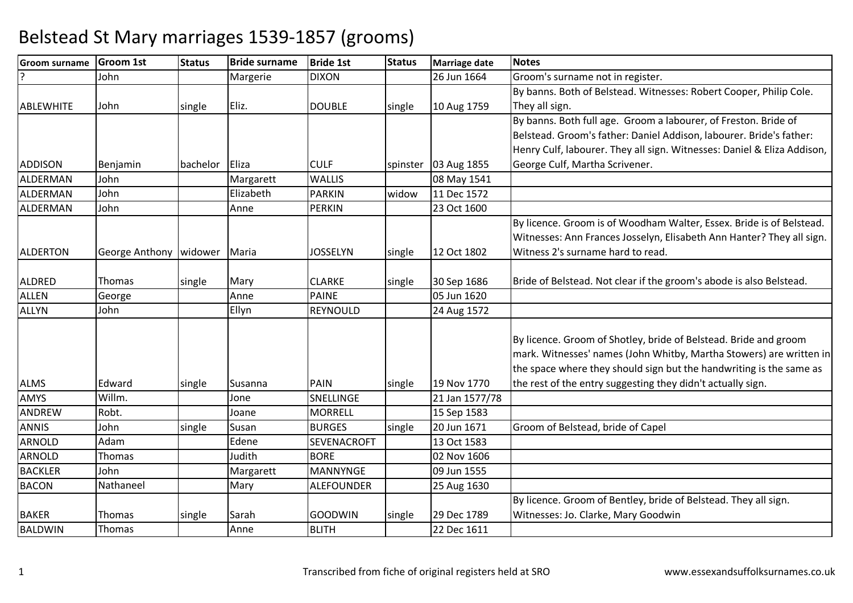| <b>Groom surname</b> | <b>Groom 1st</b>      | <b>Status</b> | <b>Bride surname</b> | <b>Bride 1st</b>  | <b>Status</b> | Marriage date  | <b>Notes</b>                                                            |
|----------------------|-----------------------|---------------|----------------------|-------------------|---------------|----------------|-------------------------------------------------------------------------|
|                      | John                  |               | Margerie             | <b>DIXON</b>      |               | 26 Jun 1664    | Groom's surname not in register.                                        |
|                      |                       |               |                      |                   |               |                | By banns. Both of Belstead. Witnesses: Robert Cooper, Philip Cole.      |
| <b>ABLEWHITE</b>     | John                  | single        | Eliz.                | <b>DOUBLE</b>     | single        | 10 Aug 1759    | They all sign.                                                          |
|                      |                       |               |                      |                   |               |                | By banns. Both full age. Groom a labourer, of Freston. Bride of         |
|                      |                       |               |                      |                   |               |                | Belstead. Groom's father: Daniel Addison, labourer. Bride's father:     |
|                      |                       |               |                      |                   |               |                | Henry Culf, labourer. They all sign. Witnesses: Daniel & Eliza Addison, |
| <b>ADDISON</b>       | Benjamin              | bachelor      | Eliza                | <b>CULF</b>       | spinster      | 03 Aug 1855    | George Culf, Martha Scrivener.                                          |
| ALDERMAN             | John                  |               | Margarett            | <b>WALLIS</b>     |               | 08 May 1541    |                                                                         |
| ALDERMAN             | John                  |               | Elizabeth            | <b>PARKIN</b>     | widow         | 11 Dec 1572    |                                                                         |
| ALDERMAN             | John                  |               | Anne                 | <b>PERKIN</b>     |               | 23 Oct 1600    |                                                                         |
|                      |                       |               |                      |                   |               |                | By licence. Groom is of Woodham Walter, Essex. Bride is of Belstead.    |
|                      |                       |               |                      |                   |               |                | Witnesses: Ann Frances Josselyn, Elisabeth Ann Hanter? They all sign.   |
| <b>ALDERTON</b>      | <b>George Anthony</b> | widower       | Maria                | <b>JOSSELYN</b>   | single        | 12 Oct 1802    | Witness 2's surname hard to read.                                       |
|                      |                       |               |                      |                   |               |                |                                                                         |
| ALDRED               | Thomas                | single        | Mary                 | <b>CLARKE</b>     | single        | 30 Sep 1686    | Bride of Belstead. Not clear if the groom's abode is also Belstead.     |
| <b>ALLEN</b>         | George                |               | Anne                 | <b>PAINE</b>      |               | 05 Jun 1620    |                                                                         |
| <b>ALLYN</b>         | John                  |               | Ellyn                | REYNOULD          |               | 24 Aug 1572    |                                                                         |
|                      |                       |               |                      |                   |               |                |                                                                         |
|                      |                       |               |                      |                   |               |                | By licence. Groom of Shotley, bride of Belstead. Bride and groom        |
|                      |                       |               |                      |                   |               |                | mark. Witnesses' names (John Whitby, Martha Stowers) are written in     |
|                      |                       |               |                      |                   |               |                | the space where they should sign but the handwriting is the same as     |
| <b>ALMS</b>          | Edward                | single        | Susanna              | PAIN              | single        | 19 Nov 1770    | the rest of the entry suggesting they didn't actually sign.             |
| AMYS                 | Willm.                |               | Jone                 | SNELLINGE         |               | 21 Jan 1577/78 |                                                                         |
| <b>ANDREW</b>        | Robt.                 |               | Joane                | <b>MORRELL</b>    |               | 15 Sep 1583    |                                                                         |
| <b>ANNIS</b>         | John                  | single        | Susan                | <b>BURGES</b>     | single        | 20 Jun 1671    | Groom of Belstead, bride of Capel                                       |
| <b>ARNOLD</b>        | Adam                  |               | Edene                | SEVENACROFT       |               | 13 Oct 1583    |                                                                         |
| ARNOLD               | Thomas                |               | Judith               | <b>BORE</b>       |               | 02 Nov 1606    |                                                                         |
| <b>BACKLER</b>       | John                  |               | Margarett            | <b>MANNYNGE</b>   |               | 09 Jun 1555    |                                                                         |
| <b>BACON</b>         | Nathaneel             |               | Mary                 | <b>ALEFOUNDER</b> |               | 25 Aug 1630    |                                                                         |
|                      |                       |               |                      |                   |               |                | By licence. Groom of Bentley, bride of Belstead. They all sign.         |
| <b>BAKER</b>         | Thomas                | single        | Sarah                | <b>GOODWIN</b>    | single        | 29 Dec 1789    | Witnesses: Jo. Clarke, Mary Goodwin                                     |
| <b>BALDWIN</b>       | Thomas                |               | Anne                 | <b>BLITH</b>      |               | 22 Dec 1611    |                                                                         |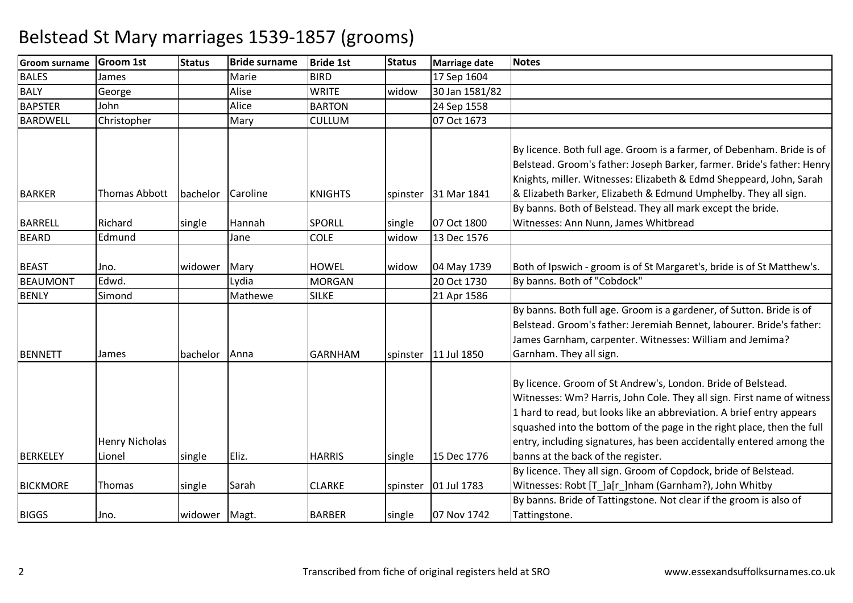| <b>Groom surname</b>            | <b>Groom 1st</b>                | <b>Status</b> | <b>Bride surname</b> | <b>Bride 1st</b>              | <b>Status</b> | <b>Marriage date</b>       | <b>Notes</b>                                                                                                                                                                                                                                                                                                                                                                                                                                                               |
|---------------------------------|---------------------------------|---------------|----------------------|-------------------------------|---------------|----------------------------|----------------------------------------------------------------------------------------------------------------------------------------------------------------------------------------------------------------------------------------------------------------------------------------------------------------------------------------------------------------------------------------------------------------------------------------------------------------------------|
| <b>BALES</b>                    | James                           |               | Marie                | <b>BIRD</b>                   |               | 17 Sep 1604                |                                                                                                                                                                                                                                                                                                                                                                                                                                                                            |
| <b>BALY</b>                     | George                          |               | Alise                | <b>WRITE</b>                  | widow         | 30 Jan 1581/82             |                                                                                                                                                                                                                                                                                                                                                                                                                                                                            |
| <b>BAPSTER</b>                  | John                            |               | Alice                | <b>BARTON</b>                 |               | 24 Sep 1558                |                                                                                                                                                                                                                                                                                                                                                                                                                                                                            |
| <b>BARDWELL</b>                 | Christopher                     |               | Mary                 | <b>CULLUM</b>                 |               | 07 Oct 1673                |                                                                                                                                                                                                                                                                                                                                                                                                                                                                            |
| <b>BARKER</b>                   | Thomas Abbott                   | bachelor      | Caroline             | <b>KNIGHTS</b>                |               | spinster 31 Mar 1841       | By licence. Both full age. Groom is a farmer, of Debenham. Bride is of<br>Belstead. Groom's father: Joseph Barker, farmer. Bride's father: Henry<br>Knights, miller. Witnesses: Elizabeth & Edmd Sheppeard, John, Sarah<br>& Elizabeth Barker, Elizabeth & Edmund Umphelby. They all sign.                                                                                                                                                                                 |
|                                 |                                 |               |                      |                               |               |                            | By banns. Both of Belstead. They all mark except the bride.                                                                                                                                                                                                                                                                                                                                                                                                                |
| <b>BARRELL</b>                  | Richard                         | single        | Hannah               | <b>SPORLL</b>                 | single        | 07 Oct 1800                | Witnesses: Ann Nunn, James Whitbread                                                                                                                                                                                                                                                                                                                                                                                                                                       |
| <b>BEARD</b>                    | Edmund                          |               | Jane                 | <b>COLE</b>                   | widow         | 13 Dec 1576                |                                                                                                                                                                                                                                                                                                                                                                                                                                                                            |
| <b>BEAST</b><br><b>BEAUMONT</b> | Jno.<br>Edwd.                   | widower       | Mary<br>Lydia        | <b>HOWEL</b><br><b>MORGAN</b> | widow         | 04 May 1739<br>20 Oct 1730 | Both of Ipswich - groom is of St Margaret's, bride is of St Matthew's.<br>By banns. Both of "Cobdock"                                                                                                                                                                                                                                                                                                                                                                      |
| <b>BENLY</b>                    | Simond                          |               | Mathewe              | <b>SILKE</b>                  |               | 21 Apr 1586                |                                                                                                                                                                                                                                                                                                                                                                                                                                                                            |
| <b>BENNETT</b>                  | James                           | bachelor      | Anna                 | <b>GARNHAM</b>                |               | spinster 11 Jul 1850       | By banns. Both full age. Groom is a gardener, of Sutton. Bride is of<br>Belstead. Groom's father: Jeremiah Bennet, labourer. Bride's father:<br>James Garnham, carpenter. Witnesses: William and Jemima?<br>Garnham. They all sign.                                                                                                                                                                                                                                        |
| <b>BERKELEY</b>                 | <b>Henry Nicholas</b><br>Lionel | single        | Eliz.                | <b>HARRIS</b>                 | single        | 15 Dec 1776                | By licence. Groom of St Andrew's, London. Bride of Belstead.<br>Witnesses: Wm? Harris, John Cole. They all sign. First name of witness<br>1 hard to read, but looks like an abbreviation. A brief entry appears<br>squashed into the bottom of the page in the right place, then the full<br>entry, including signatures, has been accidentally entered among the<br>banns at the back of the register.<br>By licence. They all sign. Groom of Copdock, bride of Belstead. |
| <b>BICKMORE</b>                 | Thomas                          | single        | Sarah                | <b>CLARKE</b>                 |               | spinster 01 Jul 1783       | Witnesses: Robt [T_]a[r_]nham (Garnham?), John Whitby                                                                                                                                                                                                                                                                                                                                                                                                                      |
| <b>BIGGS</b>                    | Jno.                            | widower Magt. |                      | <b>BARBER</b>                 | single        | 07 Nov 1742                | By banns. Bride of Tattingstone. Not clear if the groom is also of<br>Tattingstone.                                                                                                                                                                                                                                                                                                                                                                                        |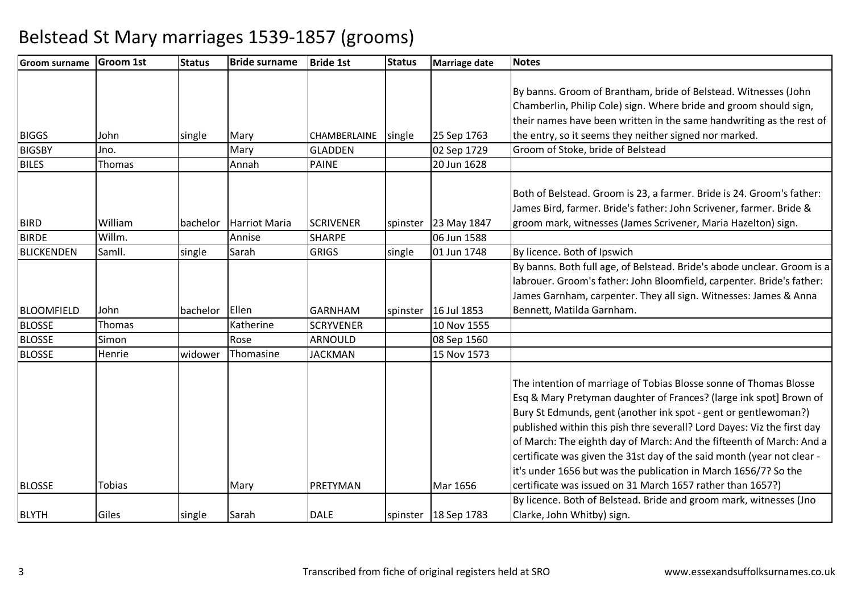| Groom surname     | <b>Groom 1st</b> | <b>Status</b> | <b>Bride surname</b>   | <b>Bride 1st</b> | <b>Status</b> | Marriage date          | <b>Notes</b>                                                            |
|-------------------|------------------|---------------|------------------------|------------------|---------------|------------------------|-------------------------------------------------------------------------|
|                   |                  |               |                        |                  |               |                        |                                                                         |
|                   |                  |               |                        |                  |               |                        | By banns. Groom of Brantham, bride of Belstead. Witnesses (John         |
|                   |                  |               |                        |                  |               |                        | Chamberlin, Philip Cole) sign. Where bride and groom should sign,       |
|                   |                  |               |                        |                  |               |                        | their names have been written in the same handwriting as the rest of    |
| <b>BIGGS</b>      | John             | single        | Mary                   | CHAMBERLAINE     | single        | 25 Sep 1763            | the entry, so it seems they neither signed nor marked.                  |
| <b>BIGSBY</b>     | Jno.             |               | Mary                   | <b>GLADDEN</b>   |               | 02 Sep 1729            | Groom of Stoke, bride of Belstead                                       |
| <b>BILES</b>      | Thomas           |               | Annah                  | <b>PAINE</b>     |               | 20 Jun 1628            |                                                                         |
|                   |                  |               |                        |                  |               |                        |                                                                         |
|                   |                  |               |                        |                  |               |                        | Both of Belstead. Groom is 23, a farmer. Bride is 24. Groom's father:   |
|                   |                  |               |                        |                  |               |                        | James Bird, farmer. Bride's father: John Scrivener, farmer. Bride &     |
| <b>BIRD</b>       | William          |               | bachelor Harriot Maria | <b>SCRIVENER</b> |               | spinster 23 May 1847   | groom mark, witnesses (James Scrivener, Maria Hazelton) sign.           |
| <b>BIRDE</b>      | Willm.           |               | Annise                 | <b>SHARPE</b>    |               | 06 Jun 1588            |                                                                         |
| <b>BLICKENDEN</b> | Samll.           | single        | Sarah                  | <b>GRIGS</b>     | single        | 01 Jun 1748            | By licence. Both of Ipswich                                             |
|                   |                  |               |                        |                  |               |                        | By banns. Both full age, of Belstead. Bride's abode unclear. Groom is a |
|                   |                  |               |                        |                  |               |                        | labrouer. Groom's father: John Bloomfield, carpenter. Bride's father:   |
|                   |                  |               |                        |                  |               |                        | James Garnham, carpenter. They all sign. Witnesses: James & Anna        |
| <b>BLOOMFIELD</b> | John             | bachelor      | Ellen                  | <b>GARNHAM</b>   |               | spinster 16 Jul 1853   | Bennett, Matilda Garnham.                                               |
| <b>BLOSSE</b>     | Thomas           |               | Katherine              | <b>SCRYVENER</b> |               | 10 Nov 1555            |                                                                         |
| <b>BLOSSE</b>     | Simon            |               | Rose                   | <b>ARNOULD</b>   |               | 08 Sep 1560            |                                                                         |
| <b>BLOSSE</b>     | Henrie           | widower       | Thomasine              | <b>JACKMAN</b>   |               | 15 Nov 1573            |                                                                         |
|                   |                  |               |                        |                  |               |                        |                                                                         |
|                   |                  |               |                        |                  |               |                        | The intention of marriage of Tobias Blosse sonne of Thomas Blosse       |
|                   |                  |               |                        |                  |               |                        | Esq & Mary Pretyman daughter of Frances? (large ink spot] Brown of      |
|                   |                  |               |                        |                  |               |                        | Bury St Edmunds, gent (another ink spot - gent or gentlewoman?)         |
|                   |                  |               |                        |                  |               |                        | published within this pish thre severall? Lord Dayes: Viz the first day |
|                   |                  |               |                        |                  |               |                        | of March: The eighth day of March: And the fifteenth of March: And a    |
|                   |                  |               |                        |                  |               |                        | certificate was given the 31st day of the said month (year not clear -  |
|                   |                  |               |                        |                  |               |                        | it's under 1656 but was the publication in March 1656/7? So the         |
| <b>BLOSSE</b>     | Tobias           |               | Mary                   | PRETYMAN         |               | Mar 1656               | certificate was issued on 31 March 1657 rather than 1657?)              |
|                   |                  |               |                        |                  |               |                        | By licence. Both of Belstead. Bride and groom mark, witnesses (Jno      |
| <b>BLYTH</b>      | Giles            | single        | Sarah                  | <b>DALE</b>      |               | spinster   18 Sep 1783 | Clarke, John Whitby) sign.                                              |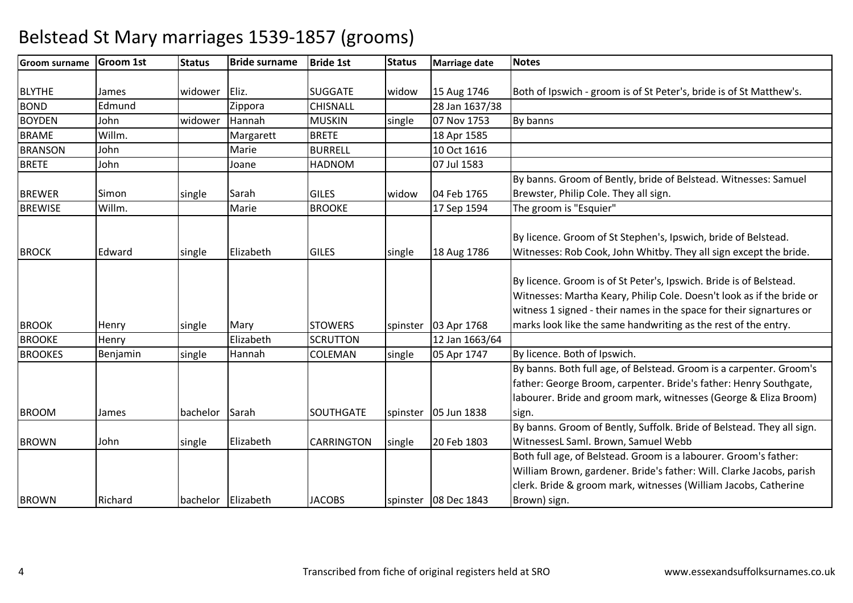#### **Groom surname Groom 1st Status Bride surname Bride 1st Status Marriage date Notes** BLYTHEE James | widower Eliz. | SUGGATE | widow 15 Aug 1746 15 Aug 1746 Both of Ipswich - groom is of St Peter's, bride is of St Matthew's.<br>28 Jan 1637/38 BONDD Edmund Zippora CHISNALL 28 Jan 1637/38 BOYDENN John widower Hannah MUSKIN single 07 Nov 1753 By banns BRAMEE Willm. Margarett BRETE 18 Apr 1585 10 Oct 1616 **BRANSON** N John Marie BURRELL 10 Oct 1616 **BRETE**  John Joane HADNOM 07 Jul 1583 BREWERR Simon single Sarah GILES widow 04 Feb 1765 By banns. Groom of Bently, bride of Belstead. Witnesses: Samuel Brewster, Philip Cole. They all sign.BREWISEE Willm. Marie BROOKE 17 Sep 1594 17 Sep 1594 | The groom is "Esquier" BROCKK Edward single Elizabeth GILES single 18 Aug 1786 By licence. Groom of St Stephen's, Ipswich, bride of Belstead. Witnesses: Rob Cook, John Whitby. They all sign except the bride.**BROOK** K Henry Single Mary STOWERS spinster 03 Apr 1768 By licence. Groom is of St Peter's, Ipswich. Bride is of Belstead. Witnesses: Martha Keary, Philip Cole. Doesn't look as if the bride or witness 1 signed - their names in the space for their signartures or marks look like the same handwriting as the rest of the entry.**BROOKE** E Henry Elizabeth Elizabeth SCRUTTON 12 Jan 1663/64<br>single 05 Apr 1747 BROOKES Benjaminsingle Hannah **ICOLEMAN** By licence. Both of Ipswich. BROOMM James bachelor Sarah SOUTHGATE spinster 05 Jun 1838 By banns. Both full age, of Belstead. Groom is a carpenter. Groom's father: George Broom, carpenter. Bride's father: Henry Southgate, labourer. Bride and groom mark, witnesses (George & Eliza Broom) sign.BROWNN John single Elizabeth CARRINGTON single 20 Feb 1803 By banns. Groom of Bently, Suffolk. Bride of Belstead. They all sign. WitnessesL Saml. Brown, Samuel Webb Both full age, of Belstead. Groom is a labourer. Groom's father: BROWNRichard **bachelor Elizabeth JACOBS** spinster 108 Dec 1843 William Brown, gardener. Bride's father: Will. Clarke Jacobs, parish clerk. Bride & groom mark, witnesses (William Jacobs, Catherine Brown) sign.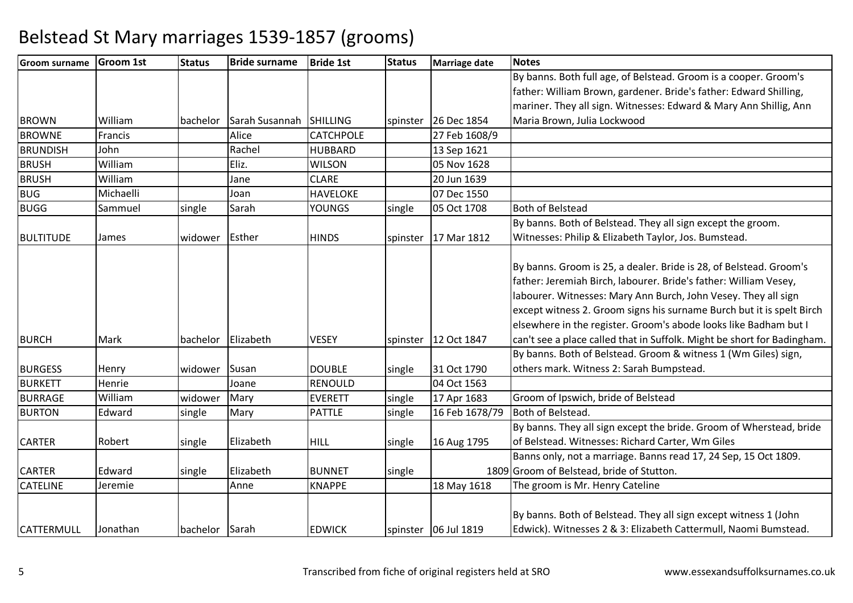| <b>Groom surname</b> | <b>Groom 1st</b> | <b>Status</b>  | <b>Bride surname</b> | <b>Bride 1st</b> | <b>Status</b> | Marriage date        | <b>Notes</b>                                                            |
|----------------------|------------------|----------------|----------------------|------------------|---------------|----------------------|-------------------------------------------------------------------------|
|                      |                  |                |                      |                  |               |                      | By banns. Both full age, of Belstead. Groom is a cooper. Groom's        |
|                      |                  |                |                      |                  |               |                      | father: William Brown, gardener. Bride's father: Edward Shilling,       |
|                      |                  |                |                      |                  |               |                      | mariner. They all sign. Witnesses: Edward & Mary Ann Shillig, Ann       |
| <b>BROWN</b>         | William          | bachelor       | Sarah Susannah       | <b>SHILLING</b>  |               | spinster 26 Dec 1854 | Maria Brown, Julia Lockwood                                             |
| <b>BROWNE</b>        | Francis          |                | Alice                | <b>CATCHPOLE</b> |               | 27 Feb 1608/9        |                                                                         |
| <b>BRUNDISH</b>      | John             |                | Rachel               | <b>HUBBARD</b>   |               | 13 Sep 1621          |                                                                         |
| <b>BRUSH</b>         | William          |                | Eliz.                | <b>WILSON</b>    |               | 05 Nov 1628          |                                                                         |
| <b>BRUSH</b>         | William          |                | Jane                 | <b>CLARE</b>     |               | 20 Jun 1639          |                                                                         |
| <b>BUG</b>           | Michaelli        |                | Joan                 | <b>HAVELOKE</b>  |               | 07 Dec 1550          |                                                                         |
| <b>BUGG</b>          | Sammuel          | single         | Sarah                | <b>YOUNGS</b>    | single        | 05 Oct 1708          | <b>Both of Belstead</b>                                                 |
|                      |                  |                |                      |                  |               |                      | By banns. Both of Belstead. They all sign except the groom.             |
| <b>BULTITUDE</b>     | James            | widower        | Esther               | <b>HINDS</b>     | spinster      | 17 Mar 1812          | Witnesses: Philip & Elizabeth Taylor, Jos. Bumstead.                    |
|                      |                  |                |                      |                  |               |                      |                                                                         |
|                      |                  |                |                      |                  |               |                      | By banns. Groom is 25, a dealer. Bride is 28, of Belstead. Groom's      |
|                      |                  |                |                      |                  |               |                      | father: Jeremiah Birch, labourer. Bride's father: William Vesey,        |
|                      |                  |                |                      |                  |               |                      | labourer. Witnesses: Mary Ann Burch, John Vesey. They all sign          |
|                      |                  |                |                      |                  |               |                      | except witness 2. Groom signs his surname Burch but it is spelt Birch   |
|                      |                  |                |                      |                  |               |                      | elsewhere in the register. Groom's abode looks like Badham but I        |
| <b>BURCH</b>         | Mark             | bachelor       | Elizabeth            | <b>VESEY</b>     | spinster      | 12 Oct 1847          | can't see a place called that in Suffolk. Might be short for Badingham. |
|                      |                  |                |                      |                  |               |                      | By banns. Both of Belstead. Groom & witness 1 (Wm Giles) sign,          |
| <b>BURGESS</b>       | Henry            | widower        | Susan                | <b>DOUBLE</b>    | single        | 31 Oct 1790          | others mark. Witness 2: Sarah Bumpstead.                                |
| <b>BURKETT</b>       | Henrie           |                | Joane                | <b>RENOULD</b>   |               | 04 Oct 1563          |                                                                         |
| <b>BURRAGE</b>       | William          | widower        | Mary                 | <b>EVERETT</b>   | single        | 17 Apr 1683          | Groom of Ipswich, bride of Belstead                                     |
| <b>BURTON</b>        | Edward           | single         | Mary                 | <b>PATTLE</b>    | single        | 16 Feb 1678/79       | Both of Belstead.                                                       |
|                      |                  |                |                      |                  |               |                      | By banns. They all sign except the bride. Groom of Wherstead, bride     |
| <b>CARTER</b>        | Robert           | single         | Elizabeth            | <b>HILL</b>      | single        | 16 Aug 1795          | of Belstead. Witnesses: Richard Carter, Wm Giles                        |
|                      |                  |                |                      |                  |               |                      | Banns only, not a marriage. Banns read 17, 24 Sep, 15 Oct 1809.         |
| <b>CARTER</b>        | Edward           | single         | Elizabeth            | <b>BUNNET</b>    | single        |                      | 1809 Groom of Belstead, bride of Stutton.                               |
| <b>CATELINE</b>      | Jeremie          |                | Anne                 | <b>KNAPPE</b>    |               | 18 May 1618          | The groom is Mr. Henry Cateline                                         |
|                      |                  |                |                      |                  |               |                      |                                                                         |
|                      |                  |                |                      |                  |               |                      | By banns. Both of Belstead. They all sign except witness 1 (John        |
| <b>CATTERMULL</b>    | Jonathan         | bachelor Sarah |                      | <b>EDWICK</b>    |               | spinster 06 Jul 1819 | Edwick). Witnesses 2 & 3: Elizabeth Cattermull, Naomi Bumstead.         |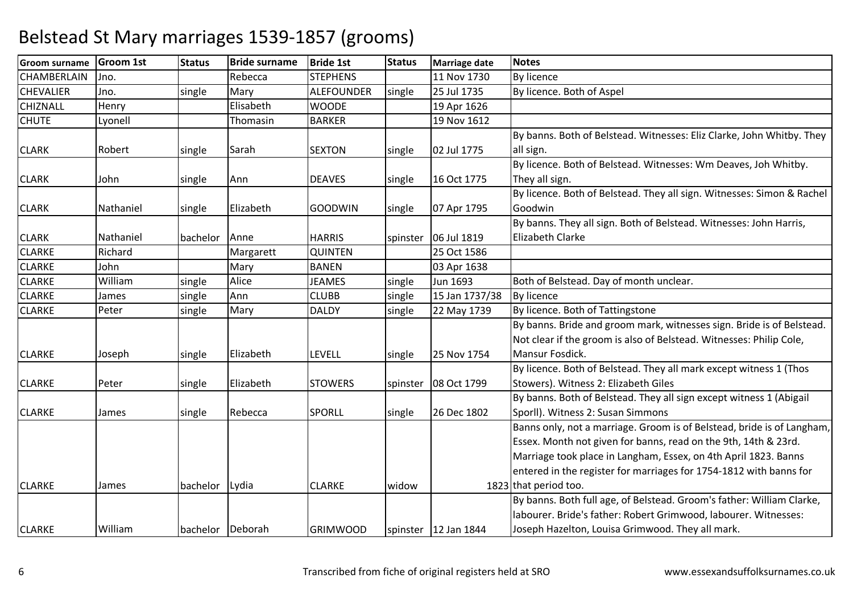| <b>Groom surname</b> | <b>Groom 1st</b> | <b>Status</b>    | <b>Bride surname</b> | <b>Bride 1st</b>  | <b>Status</b> | <b>Marriage date</b>   | <b>Notes</b>                                                           |
|----------------------|------------------|------------------|----------------------|-------------------|---------------|------------------------|------------------------------------------------------------------------|
| CHAMBERLAIN          | Jno.             |                  | Rebecca              | <b>STEPHENS</b>   |               | 11 Nov 1730            | <b>By licence</b>                                                      |
| <b>CHEVALIER</b>     | Jno.             | single           | Mary                 | <b>ALEFOUNDER</b> | single        | 25 Jul 1735            | By licence. Both of Aspel                                              |
| <b>CHIZNALL</b>      | Henry            |                  | Elisabeth            | <b>WOODE</b>      |               | 19 Apr 1626            |                                                                        |
| <b>CHUTE</b>         | Lyonell          |                  | Thomasin             | <b>BARKER</b>     |               | 19 Nov 1612            |                                                                        |
|                      |                  |                  |                      |                   |               |                        | By banns. Both of Belstead. Witnesses: Eliz Clarke, John Whitby. They  |
| <b>CLARK</b>         | Robert           | single           | Sarah                | <b>SEXTON</b>     | single        | 02 Jul 1775            | all sign.                                                              |
|                      |                  |                  |                      |                   |               |                        | By licence. Both of Belstead. Witnesses: Wm Deaves, Joh Whitby.        |
| <b>CLARK</b>         | John             | single           | Ann                  | <b>DEAVES</b>     | single        | 16 Oct 1775            | They all sign.                                                         |
|                      |                  |                  |                      |                   |               |                        | By licence. Both of Belstead. They all sign. Witnesses: Simon & Rachel |
| <b>CLARK</b>         | Nathaniel        | single           | Elizabeth            | <b>GOODWIN</b>    | single        | 07 Apr 1795            | Goodwin                                                                |
|                      |                  |                  |                      |                   |               |                        | By banns. They all sign. Both of Belstead. Witnesses: John Harris,     |
| <b>CLARK</b>         | Nathaniel        | bachelor         | Anne                 | <b>HARRIS</b>     |               | spinster   06 Jul 1819 | <b>Elizabeth Clarke</b>                                                |
| <b>CLARKE</b>        | Richard          |                  | Margarett            | <b>QUINTEN</b>    |               | 25 Oct 1586            |                                                                        |
| <b>CLARKE</b>        | John             |                  | Mary                 | <b>BANEN</b>      |               | 03 Apr 1638            |                                                                        |
| <b>CLARKE</b>        | William          | single           | Alice                | <b>JEAMES</b>     | single        | Jun 1693               | Both of Belstead. Day of month unclear.                                |
| <b>CLARKE</b>        | James            | single           | Ann                  | <b>CLUBB</b>      | single        | 15 Jan 1737/38         | <b>By licence</b>                                                      |
| <b>CLARKE</b>        | Peter            | single           | Mary                 | <b>DALDY</b>      | single        | 22 May 1739            | By licence. Both of Tattingstone                                       |
|                      |                  |                  |                      |                   |               |                        | By banns. Bride and groom mark, witnesses sign. Bride is of Belstead.  |
|                      |                  |                  |                      |                   |               |                        | Not clear if the groom is also of Belstead. Witnesses: Philip Cole,    |
| <b>CLARKE</b>        | Joseph           | single           | Elizabeth            | LEVELL            | single        | 25 Nov 1754            | Mansur Fosdick.                                                        |
|                      |                  |                  |                      |                   |               |                        | By licence. Both of Belstead. They all mark except witness 1 (Thos     |
| <b>CLARKE</b>        | Peter            | single           | Elizabeth            | <b>STOWERS</b>    | spinster      | 08 Oct 1799            | Stowers). Witness 2: Elizabeth Giles                                   |
|                      |                  |                  |                      |                   |               |                        | By banns. Both of Belstead. They all sign except witness 1 (Abigail    |
| <b>CLARKE</b>        | James            | single           | Rebecca              | <b>SPORLL</b>     | single        | 26 Dec 1802            | Sporll). Witness 2: Susan Simmons                                      |
|                      |                  |                  |                      |                   |               |                        | Banns only, not a marriage. Groom is of Belstead, bride is of Langham, |
|                      |                  |                  |                      |                   |               |                        | Essex. Month not given for banns, read on the 9th, 14th & 23rd.        |
|                      |                  |                  |                      |                   |               |                        | Marriage took place in Langham, Essex, on 4th April 1823. Banns        |
|                      |                  |                  |                      |                   |               |                        | entered in the register for marriages for 1754-1812 with banns for     |
| <b>CLARKE</b>        | James            | bachelor Lydia   |                      | <b>CLARKE</b>     | widow         |                        | 1823 that period too.                                                  |
|                      |                  |                  |                      |                   |               |                        | By banns. Both full age, of Belstead. Groom's father: William Clarke,  |
|                      |                  |                  |                      |                   |               |                        | labourer. Bride's father: Robert Grimwood, labourer. Witnesses:        |
| <b>CLARKE</b>        | William          | bachelor Deborah |                      | <b>GRIMWOOD</b>   |               | spinster   12 Jan 1844 | Joseph Hazelton, Louisa Grimwood. They all mark.                       |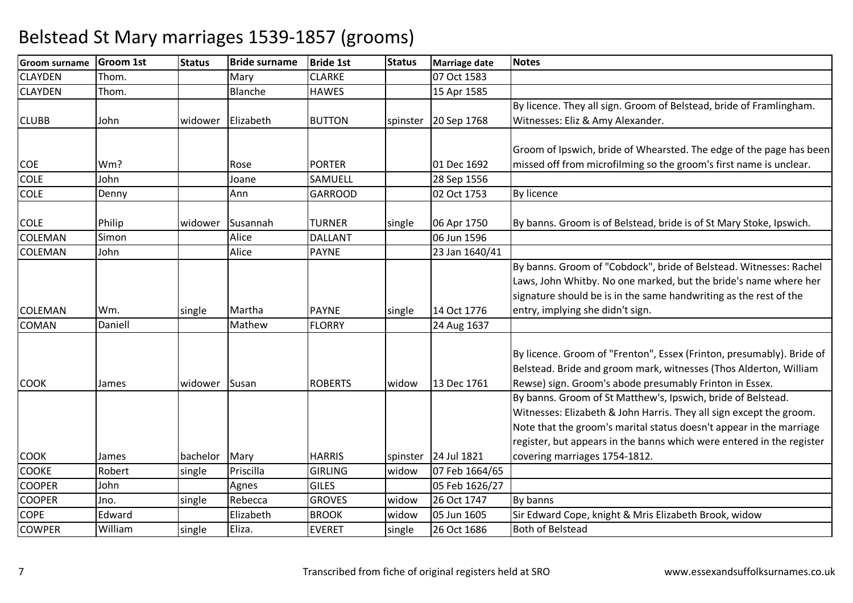| <b>Groom surname</b> | <b>Groom 1st</b> | <b>Status</b> | <b>Bride surname</b> | <b>Bride 1st</b> | <b>Status</b> | Marriage date        | <b>Notes</b>                                                          |
|----------------------|------------------|---------------|----------------------|------------------|---------------|----------------------|-----------------------------------------------------------------------|
| <b>CLAYDEN</b>       | Thom.            |               | Mary                 | <b>CLARKE</b>    |               | 07 Oct 1583          |                                                                       |
| <b>CLAYDEN</b>       | Thom.            |               | Blanche              | <b>HAWES</b>     |               | 15 Apr 1585          |                                                                       |
|                      |                  |               |                      |                  |               |                      | By licence. They all sign. Groom of Belstead, bride of Framlingham.   |
| <b>CLUBB</b>         | John             | widower       | Elizabeth            | <b>BUTTON</b>    |               | spinster 20 Sep 1768 | Witnesses: Eliz & Amy Alexander.                                      |
|                      |                  |               |                      |                  |               |                      |                                                                       |
|                      |                  |               |                      |                  |               |                      | Groom of Ipswich, bride of Whearsted. The edge of the page has been   |
| <b>COE</b>           | Wm?              |               | Rose                 | <b>PORTER</b>    |               | 01 Dec 1692          | missed off from microfilming so the groom's first name is unclear.    |
| <b>COLE</b>          | John             |               | Joane                | SAMUELL          |               | 28 Sep 1556          |                                                                       |
| <b>COLE</b>          | Denny            |               | Ann                  | <b>GARROOD</b>   |               | 02 Oct 1753          | <b>By licence</b>                                                     |
|                      |                  |               |                      |                  |               |                      |                                                                       |
| <b>COLE</b>          | Philip           | widower       | Susannah             | <b>TURNER</b>    | single        | 06 Apr 1750          | By banns. Groom is of Belstead, bride is of St Mary Stoke, Ipswich.   |
| <b>COLEMAN</b>       | Simon            |               | Alice                | <b>DALLANT</b>   |               | 06 Jun 1596          |                                                                       |
| <b>COLEMAN</b>       | John             |               | Alice                | <b>PAYNE</b>     |               | 23 Jan 1640/41       |                                                                       |
|                      |                  |               |                      |                  |               |                      | By banns. Groom of "Cobdock", bride of Belstead. Witnesses: Rachel    |
|                      |                  |               |                      |                  |               |                      | Laws, John Whitby. No one marked, but the bride's name where her      |
|                      |                  |               |                      |                  |               |                      | signature should be is in the same handwriting as the rest of the     |
| <b>COLEMAN</b>       | Wm.              | single        | Martha               | <b>PAYNE</b>     | single        | 14 Oct 1776          | entry, implying she didn't sign.                                      |
| <b>COMAN</b>         | Daniell          |               | Mathew               | <b>FLORRY</b>    |               | 24 Aug 1637          |                                                                       |
|                      |                  |               |                      |                  |               |                      |                                                                       |
|                      |                  |               |                      |                  |               |                      | By licence. Groom of "Frenton", Essex (Frinton, presumably). Bride of |
|                      |                  |               |                      |                  |               |                      | Belstead. Bride and groom mark, witnesses (Thos Alderton, William     |
| <b>COOK</b>          | James            | widower       | Susan                | <b>ROBERTS</b>   | widow         | 13 Dec 1761          | Rewse) sign. Groom's abode presumably Frinton in Essex.               |
|                      |                  |               |                      |                  |               |                      | By banns. Groom of St Matthew's, Ipswich, bride of Belstead.          |
|                      |                  |               |                      |                  |               |                      | Witnesses: Elizabeth & John Harris. They all sign except the groom.   |
|                      |                  |               |                      |                  |               |                      | Note that the groom's marital status doesn't appear in the marriage   |
|                      |                  |               |                      |                  |               |                      | register, but appears in the banns which were entered in the register |
| <b>COOK</b>          | James            | bachelor      | Mary                 | <b>HARRIS</b>    |               | spinster 24 Jul 1821 | covering marriages 1754-1812.                                         |
| <b>COOKE</b>         | Robert           | single        | Priscilla            | <b>GIRLING</b>   | widow         | 07 Feb 1664/65       |                                                                       |
| <b>COOPER</b>        | John             |               | Agnes                | <b>GILES</b>     |               | 05 Feb 1626/27       |                                                                       |
| <b>COOPER</b>        | Jno.             | single        | Rebecca              | <b>GROVES</b>    | widow         | 26 Oct 1747          | By banns                                                              |
| <b>COPE</b>          | Edward           |               | Elizabeth            | <b>BROOK</b>     | widow         | 05 Jun 1605          | Sir Edward Cope, knight & Mris Elizabeth Brook, widow                 |
| <b>COWPER</b>        | William          | single        | Eliza.               | <b>EVERET</b>    | single        | 26 Oct 1686          | <b>Both of Belstead</b>                                               |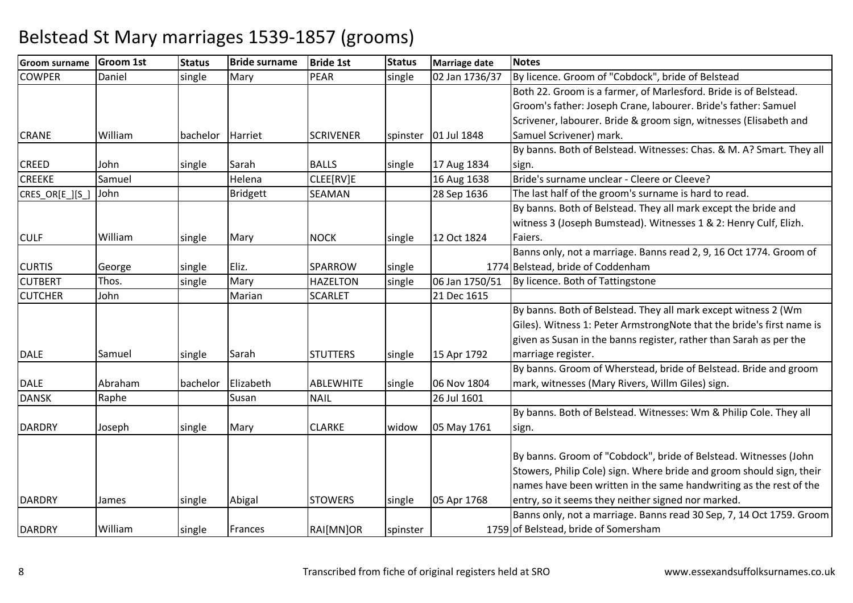| <b>Groom surname</b> | <b>Groom 1st</b> | <b>Status</b> | <b>Bride surname</b> | <b>Bride 1st</b> | <b>Status</b> | Marriage date        | <b>Notes</b>                                                          |
|----------------------|------------------|---------------|----------------------|------------------|---------------|----------------------|-----------------------------------------------------------------------|
| <b>COWPER</b>        | Daniel           | single        | Mary                 | <b>PEAR</b>      | single        | 02 Jan 1736/37       | By licence. Groom of "Cobdock", bride of Belstead                     |
|                      |                  |               |                      |                  |               |                      | Both 22. Groom is a farmer, of Marlesford. Bride is of Belstead.      |
|                      |                  |               |                      |                  |               |                      | Groom's father: Joseph Crane, labourer. Bride's father: Samuel        |
|                      |                  |               |                      |                  |               |                      | Scrivener, labourer. Bride & groom sign, witnesses (Elisabeth and     |
| <b>CRANE</b>         | William          | bachelor      | Harriet              | <b>SCRIVENER</b> |               | spinster 01 Jul 1848 | Samuel Scrivener) mark.                                               |
|                      |                  |               |                      |                  |               |                      | By banns. Both of Belstead. Witnesses: Chas. & M. A? Smart. They all  |
| <b>CREED</b>         | John             | single        | Sarah                | <b>BALLS</b>     | single        | 17 Aug 1834          | sign.                                                                 |
| <b>CREEKE</b>        | Samuel           |               | Helena               | CLEE[RV]E        |               | 16 Aug 1638          | Bride's surname unclear - Cleere or Cleeve?                           |
| CRES_OR[E_][S_]      | John             |               | <b>Bridgett</b>      | SEAMAN           |               | 28 Sep 1636          | The last half of the groom's surname is hard to read.                 |
|                      |                  |               |                      |                  |               |                      | By banns. Both of Belstead. They all mark except the bride and        |
|                      |                  |               |                      |                  |               |                      | witness 3 (Joseph Bumstead). Witnesses 1 & 2: Henry Culf, Elizh.      |
| <b>CULF</b>          | William          | single        | Mary                 | <b>NOCK</b>      | single        | 12 Oct 1824          | Faiers.                                                               |
|                      |                  |               |                      |                  |               |                      | Banns only, not a marriage. Banns read 2, 9, 16 Oct 1774. Groom of    |
| <b>CURTIS</b>        | George           | single        | Eliz.                | <b>SPARROW</b>   | single        |                      | 1774 Belstead, bride of Coddenham                                     |
| <b>CUTBERT</b>       | Thos.            | single        | Mary                 | <b>HAZELTON</b>  | single        | 06 Jan 1750/51       | By licence. Both of Tattingstone                                      |
| <b>CUTCHER</b>       | John             |               | Marian               | <b>SCARLET</b>   |               | 21 Dec 1615          |                                                                       |
|                      |                  |               |                      |                  |               |                      | By banns. Both of Belstead. They all mark except witness 2 (Wm        |
|                      |                  |               |                      |                  |               |                      | Giles). Witness 1: Peter ArmstrongNote that the bride's first name is |
|                      |                  |               |                      |                  |               |                      | given as Susan in the banns register, rather than Sarah as per the    |
| <b>DALE</b>          | Samuel           | single        | Sarah                | <b>STUTTERS</b>  | single        | 15 Apr 1792          | marriage register.                                                    |
|                      |                  |               |                      |                  |               |                      | By banns. Groom of Wherstead, bride of Belstead. Bride and groom      |
| <b>DALE</b>          | Abraham          | bachelor      | Elizabeth            | <b>ABLEWHITE</b> | single        | 06 Nov 1804          | mark, witnesses (Mary Rivers, Willm Giles) sign.                      |
| <b>DANSK</b>         | Raphe            |               | Susan                | <b>NAIL</b>      |               | 26 Jul 1601          |                                                                       |
|                      |                  |               |                      |                  |               |                      | By banns. Both of Belstead. Witnesses: Wm & Philip Cole. They all     |
| <b>DARDRY</b>        | Joseph           | single        | Mary                 | <b>CLARKE</b>    | widow         | 05 May 1761          | sign.                                                                 |
|                      |                  |               |                      |                  |               |                      |                                                                       |
|                      |                  |               |                      |                  |               |                      | By banns. Groom of "Cobdock", bride of Belstead. Witnesses (John      |
|                      |                  |               |                      |                  |               |                      | Stowers, Philip Cole) sign. Where bride and groom should sign, their  |
|                      |                  |               |                      |                  |               |                      | names have been written in the same handwriting as the rest of the    |
| <b>DARDRY</b>        | James            | single        | Abigal               | <b>STOWERS</b>   | single        | 05 Apr 1768          | entry, so it seems they neither signed nor marked.                    |
|                      |                  |               |                      |                  |               |                      | Banns only, not a marriage. Banns read 30 Sep, 7, 14 Oct 1759. Groom  |
| <b>DARDRY</b>        | William          | single        | Frances              | RAI[MN]OR        | spinster      |                      | 1759 of Belstead, bride of Somersham                                  |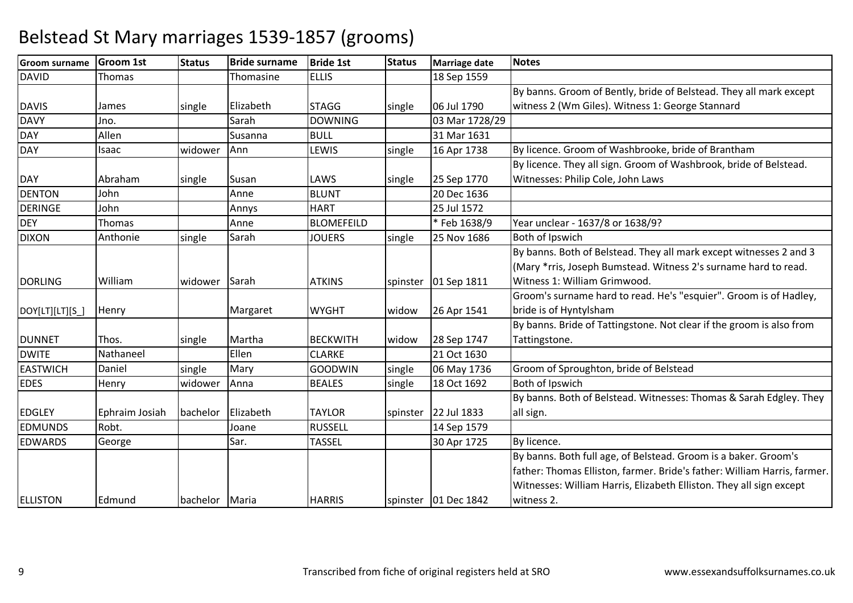| <b>Groom surname</b> | <b>Groom 1st</b> | <b>Status</b>  | <b>Bride surname</b> | <b>Bride 1st</b>  | <b>Status</b> | <b>Marriage date</b>   | <b>Notes</b>                                                             |
|----------------------|------------------|----------------|----------------------|-------------------|---------------|------------------------|--------------------------------------------------------------------------|
| <b>DAVID</b>         | Thomas           |                | Thomasine            | <b>ELLIS</b>      |               | 18 Sep 1559            |                                                                          |
|                      |                  |                |                      |                   |               |                        | By banns. Groom of Bently, bride of Belstead. They all mark except       |
| <b>DAVIS</b>         | James            | single         | Elizabeth            | <b>STAGG</b>      | single        | 06 Jul 1790            | witness 2 (Wm Giles). Witness 1: George Stannard                         |
| <b>DAVY</b>          | Jno.             |                | Sarah                | <b>DOWNING</b>    |               | 03 Mar 1728/29         |                                                                          |
| <b>DAY</b>           | Allen            |                | Susanna              | <b>BULL</b>       |               | 31 Mar 1631            |                                                                          |
| <b>DAY</b>           | Isaac            | widower        | Ann                  | LEWIS             | single        | 16 Apr 1738            | By licence. Groom of Washbrooke, bride of Brantham                       |
|                      |                  |                |                      |                   |               |                        | By licence. They all sign. Groom of Washbrook, bride of Belstead.        |
| <b>DAY</b>           | Abraham          | single         | Susan                | LAWS              | single        | 25 Sep 1770            | Witnesses: Philip Cole, John Laws                                        |
| <b>DENTON</b>        | John             |                | Anne                 | <b>BLUNT</b>      |               | 20 Dec 1636            |                                                                          |
| <b>DERINGE</b>       | John             |                | Annys                | <b>HART</b>       |               | 25 Jul 1572            |                                                                          |
| <b>DEY</b>           | Thomas           |                | Anne                 | <b>BLOMEFEILD</b> |               | * Feb 1638/9           | Year unclear - 1637/8 or 1638/9?                                         |
| <b>DIXON</b>         | Anthonie         | single         | Sarah                | <b>JOUERS</b>     | single        | 25 Nov 1686            | Both of Ipswich                                                          |
|                      |                  |                |                      |                   |               |                        | By banns. Both of Belstead. They all mark except witnesses 2 and 3       |
|                      |                  |                |                      |                   |               |                        | (Mary *rris, Joseph Bumstead. Witness 2's surname hard to read.          |
| <b>DORLING</b>       | William          | widower        | Sarah                | <b>ATKINS</b>     |               | spinster   01 Sep 1811 | Witness 1: William Grimwood.                                             |
|                      |                  |                |                      |                   |               |                        | Groom's surname hard to read. He's "esquier". Groom is of Hadley,        |
| DOY[LT][LT][S_]      | Henry            |                | Margaret             | <b>WYGHT</b>      | widow         | 26 Apr 1541            | bride is of Hyntylsham                                                   |
|                      |                  |                |                      |                   |               |                        | By banns. Bride of Tattingstone. Not clear if the groom is also from     |
| <b>DUNNET</b>        | Thos.            | single         | Martha               | <b>BECKWITH</b>   | widow         | 28 Sep 1747            | Tattingstone.                                                            |
| <b>DWITE</b>         | Nathaneel        |                | Ellen                | <b>CLARKE</b>     |               | 21 Oct 1630            |                                                                          |
| <b>EASTWICH</b>      | Daniel           | single         | Mary                 | <b>GOODWIN</b>    | single        | 06 May 1736            | Groom of Sproughton, bride of Belstead                                   |
| <b>EDES</b>          | Henry            | widower        | Anna                 | <b>BEALES</b>     | single        | 18 Oct 1692            | Both of Ipswich                                                          |
|                      |                  |                |                      |                   |               |                        | By banns. Both of Belstead. Witnesses: Thomas & Sarah Edgley. They       |
| <b>EDGLEY</b>        | Ephraim Josiah   | bachelor       | Elizabeth            | <b>TAYLOR</b>     | spinster      | 22 Jul 1833            | all sign.                                                                |
| <b>EDMUNDS</b>       | Robt.            |                | Joane                | <b>RUSSELL</b>    |               | 14 Sep 1579            |                                                                          |
| <b>EDWARDS</b>       | George           |                | Sar.                 | <b>TASSEL</b>     |               | 30 Apr 1725            | By licence.                                                              |
|                      |                  |                |                      |                   |               |                        | By banns. Both full age, of Belstead. Groom is a baker. Groom's          |
|                      |                  |                |                      |                   |               |                        | father: Thomas Elliston, farmer. Bride's father: William Harris, farmer. |
|                      |                  |                |                      |                   |               |                        | Witnesses: William Harris, Elizabeth Elliston. They all sign except      |
| <b>ELLISTON</b>      | Edmund           | bachelor Maria |                      | <b>HARRIS</b>     |               | spinster   01 Dec 1842 | witness 2.                                                               |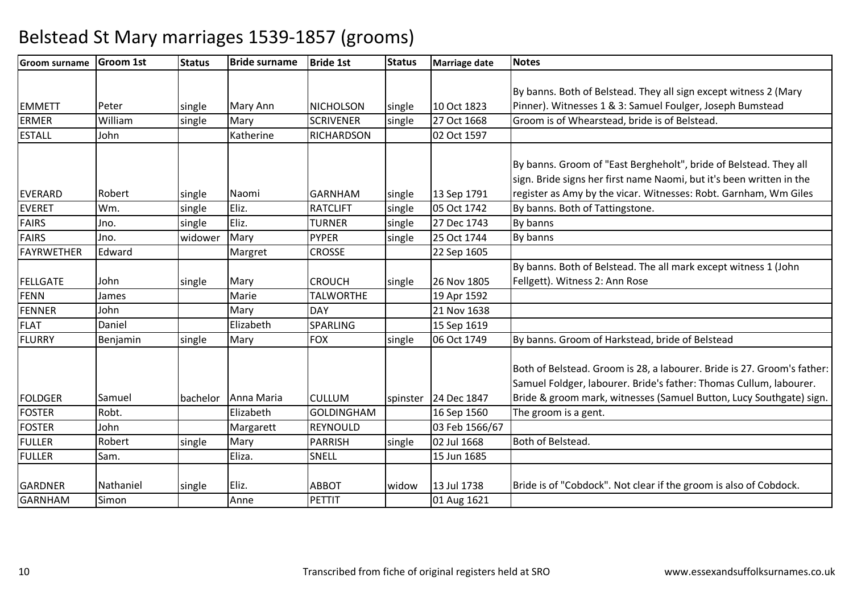| <b>Groom surname</b> | <b>Groom 1st</b> | <b>Status</b> | <b>Bride surname</b> | <b>Bride 1st</b>  | <b>Status</b> | <b>Marriage date</b>   | <b>Notes</b>                                                            |
|----------------------|------------------|---------------|----------------------|-------------------|---------------|------------------------|-------------------------------------------------------------------------|
|                      |                  |               |                      |                   |               |                        |                                                                         |
|                      |                  |               |                      |                   |               |                        | By banns. Both of Belstead. They all sign except witness 2 (Mary        |
| <b>EMMETT</b>        | Peter            | single        | Mary Ann             | <b>NICHOLSON</b>  | single        | 10 Oct 1823            | Pinner). Witnesses 1 & 3: Samuel Foulger, Joseph Bumstead               |
| <b>ERMER</b>         | William          | single        | Mary                 | <b>SCRIVENER</b>  | single        | 27 Oct 1668            | Groom is of Whearstead, bride is of Belstead.                           |
| <b>ESTALL</b>        | John             |               | Katherine            | <b>RICHARDSON</b> |               | 02 Oct 1597            |                                                                         |
|                      |                  |               |                      |                   |               |                        | By banns. Groom of "East Bergheholt", bride of Belstead. They all       |
|                      |                  |               |                      |                   |               |                        | sign. Bride signs her first name Naomi, but it's been written in the    |
| <b>EVERARD</b>       | Robert           | single        | Naomi                | <b>GARNHAM</b>    | single        | 13 Sep 1791            | register as Amy by the vicar. Witnesses: Robt. Garnham, Wm Giles        |
| <b>EVERET</b>        | Wm.              | single        | Eliz.                | <b>RATCLIFT</b>   | single        | 05 Oct 1742            | By banns. Both of Tattingstone.                                         |
| <b>FAIRS</b>         | Jno.             | single        | Eliz.                | <b>TURNER</b>     | single        | 27 Dec 1743            | By banns                                                                |
| <b>FAIRS</b>         | Jno.             | widower       | Mary                 | <b>PYPER</b>      | single        | 25 Oct 1744            | By banns                                                                |
| <b>FAYRWETHER</b>    | Edward           |               | Margret              | <b>CROSSE</b>     |               | 22 Sep 1605            |                                                                         |
|                      |                  |               |                      |                   |               |                        | By banns. Both of Belstead. The all mark except witness 1 (John         |
| <b>FELLGATE</b>      | John             | single        | Mary                 | <b>CROUCH</b>     | single        | 26 Nov 1805            | Fellgett). Witness 2: Ann Rose                                          |
| <b>FENN</b>          | James            |               | Marie                | <b>TALWORTHE</b>  |               | 19 Apr 1592            |                                                                         |
| <b>FENNER</b>        | John             |               | Mary                 | <b>DAY</b>        |               | 21 Nov 1638            |                                                                         |
| <b>FLAT</b>          | Daniel           |               | Elizabeth            | <b>SPARLING</b>   |               | 15 Sep 1619            |                                                                         |
| <b>FLURRY</b>        | Benjamin         | single        | Mary                 | <b>FOX</b>        | single        | 06 Oct 1749            | By banns. Groom of Harkstead, bride of Belstead                         |
|                      |                  |               |                      |                   |               |                        | Both of Belstead. Groom is 28, a labourer. Bride is 27. Groom's father: |
|                      |                  |               |                      |                   |               |                        | Samuel Foldger, labourer. Bride's father: Thomas Cullum, labourer.      |
| <b>FOLDGER</b>       | Samuel           | bachelor      | Anna Maria           | <b>CULLUM</b>     |               | spinster   24 Dec 1847 | Bride & groom mark, witnesses (Samuel Button, Lucy Southgate) sign.     |
| <b>FOSTER</b>        | Robt.            |               | Elizabeth            | <b>GOLDINGHAM</b> |               | 16 Sep 1560            | The groom is a gent.                                                    |
| <b>FOSTER</b>        | John             |               | Margarett            | <b>REYNOULD</b>   |               | 03 Feb 1566/67         |                                                                         |
| <b>FULLER</b>        | Robert           | single        | Mary                 | <b>PARRISH</b>    | single        | 02 Jul 1668            | Both of Belstead.                                                       |
| <b>FULLER</b>        | Sam.             |               | Eliza.               | SNELL             |               | 15 Jun 1685            |                                                                         |
|                      |                  |               |                      |                   |               |                        |                                                                         |
| <b>GARDNER</b>       | Nathaniel        | single        | Eliz.                | <b>ABBOT</b>      | widow         | 13 Jul 1738            | Bride is of "Cobdock". Not clear if the groom is also of Cobdock.       |
| <b>GARNHAM</b>       | Simon            |               | Anne                 | PETTIT            |               | 01 Aug 1621            |                                                                         |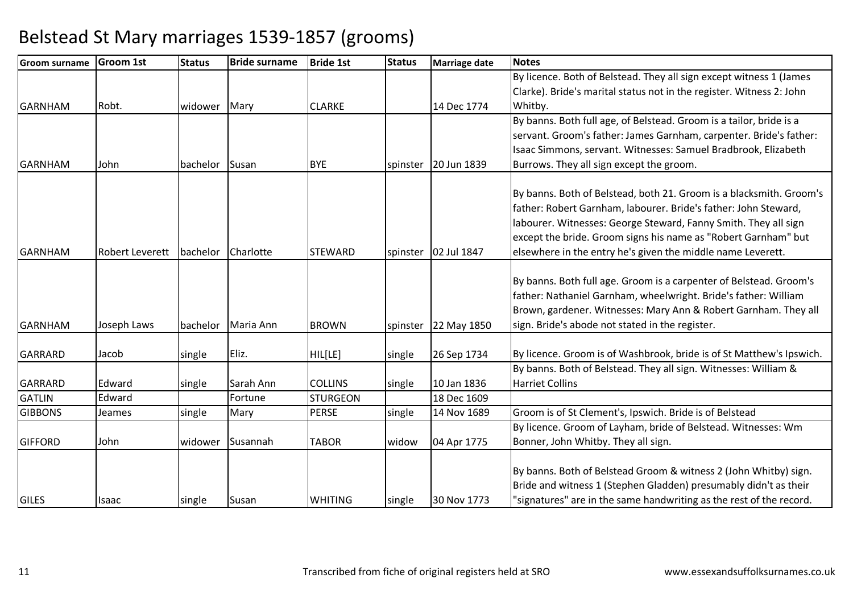| Groom surname  | <b>Groom 1st</b>       | <b>Status</b> | <b>Bride surname</b> | <b>Bride 1st</b> | <b>Status</b> | <b>Marriage date</b> | <b>Notes</b>                                                         |
|----------------|------------------------|---------------|----------------------|------------------|---------------|----------------------|----------------------------------------------------------------------|
|                |                        |               |                      |                  |               |                      | By licence. Both of Belstead. They all sign except witness 1 (James  |
|                |                        |               |                      |                  |               |                      | Clarke). Bride's marital status not in the register. Witness 2: John |
| <b>GARNHAM</b> | Robt.                  | widower       | Mary                 | <b>CLARKE</b>    |               | 14 Dec 1774          | Whitby.                                                              |
|                |                        |               |                      |                  |               |                      | By banns. Both full age, of Belstead. Groom is a tailor, bride is a  |
|                |                        |               |                      |                  |               |                      | servant. Groom's father: James Garnham, carpenter. Bride's father:   |
|                |                        |               |                      |                  |               |                      | Isaac Simmons, servant. Witnesses: Samuel Bradbrook, Elizabeth       |
| <b>GARNHAM</b> | John                   | bachelor      | Susan                | <b>BYE</b>       | spinster      | 20 Jun 1839          | Burrows. They all sign except the groom.                             |
|                |                        |               |                      |                  |               |                      |                                                                      |
|                |                        |               |                      |                  |               |                      | By banns. Both of Belstead, both 21. Groom is a blacksmith. Groom's  |
|                |                        |               |                      |                  |               |                      | father: Robert Garnham, labourer. Bride's father: John Steward,      |
|                |                        |               |                      |                  |               |                      | labourer. Witnesses: George Steward, Fanny Smith. They all sign      |
|                |                        |               |                      |                  |               |                      | except the bride. Groom signs his name as "Robert Garnham" but       |
| <b>GARNHAM</b> | <b>Robert Leverett</b> | bachelor      | Charlotte            | <b>STEWARD</b>   | spinster      | 02 Jul 1847          | elsewhere in the entry he's given the middle name Leverett.          |
|                |                        |               |                      |                  |               |                      | By banns. Both full age. Groom is a carpenter of Belstead. Groom's   |
|                |                        |               |                      |                  |               |                      | father: Nathaniel Garnham, wheelwright. Bride's father: William      |
|                |                        |               |                      |                  |               |                      | Brown, gardener. Witnesses: Mary Ann & Robert Garnham. They all      |
| <b>GARNHAM</b> | Joseph Laws            | bachelor      | Maria Ann            | <b>BROWN</b>     | spinster      | 22 May 1850          | sign. Bride's abode not stated in the register.                      |
|                |                        |               |                      |                  |               |                      |                                                                      |
| GARRARD        | Jacob                  | single        | Eliz.                | HIL[LE]          | single        | 26 Sep 1734          | By licence. Groom is of Washbrook, bride is of St Matthew's Ipswich. |
|                |                        |               |                      |                  |               |                      | By banns. Both of Belstead. They all sign. Witnesses: William &      |
| GARRARD        | Edward                 | single        | Sarah Ann            | <b>COLLINS</b>   | single        | 10 Jan 1836          | <b>Harriet Collins</b>                                               |
| <b>GATLIN</b>  | Edward                 |               | Fortune              | <b>STURGEON</b>  |               | 18 Dec 1609          |                                                                      |
| <b>GIBBONS</b> | Jeames                 | single        | Mary                 | <b>PERSE</b>     | single        | 14 Nov 1689          | Groom is of St Clement's, Ipswich. Bride is of Belstead              |
|                |                        |               |                      |                  |               |                      | By licence. Groom of Layham, bride of Belstead. Witnesses: Wm        |
| <b>GIFFORD</b> | John                   | widower       | Susannah             | <b>TABOR</b>     | widow         | 04 Apr 1775          | Bonner, John Whitby. They all sign.                                  |
|                |                        |               |                      |                  |               |                      |                                                                      |
|                |                        |               |                      |                  |               |                      | By banns. Both of Belstead Groom & witness 2 (John Whitby) sign.     |
|                |                        |               |                      |                  |               |                      | Bride and witness 1 (Stephen Gladden) presumably didn't as their     |
| <b>GILES</b>   | <b>Isaac</b>           | single        | Susan                | <b>WHITING</b>   | single        | 30 Nov 1773          | "signatures" are in the same handwriting as the rest of the record.  |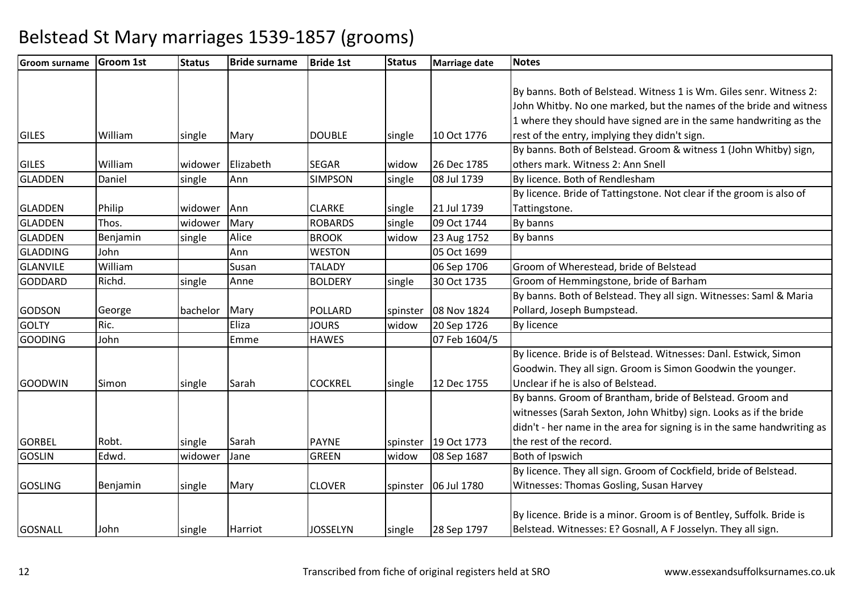| <b>Groom surname</b> | <b>Groom 1st</b> | <b>Status</b> | <b>Bride surname</b> | <b>Bride 1st</b> | <b>Status</b> | <b>Marriage date</b> | <b>Notes</b>                                                            |
|----------------------|------------------|---------------|----------------------|------------------|---------------|----------------------|-------------------------------------------------------------------------|
|                      |                  |               |                      |                  |               |                      |                                                                         |
|                      |                  |               |                      |                  |               |                      | By banns. Both of Belstead. Witness 1 is Wm. Giles senr. Witness 2:     |
|                      |                  |               |                      |                  |               |                      | John Whitby. No one marked, but the names of the bride and witness      |
|                      |                  |               |                      |                  |               |                      | 1 where they should have signed are in the same handwriting as the      |
| <b>GILES</b>         | William          | single        | Mary                 | <b>DOUBLE</b>    | single        | 10 Oct 1776          | rest of the entry, implying they didn't sign.                           |
|                      |                  |               |                      |                  |               |                      | By banns. Both of Belstead. Groom & witness 1 (John Whitby) sign,       |
| <b>GILES</b>         | William          | widower       | Elizabeth            | <b>SEGAR</b>     | widow         | 26 Dec 1785          | others mark. Witness 2: Ann Snell                                       |
| <b>GLADDEN</b>       | Daniel           | single        | Ann                  | <b>SIMPSON</b>   | single        | 08 Jul 1739          | By licence. Both of Rendlesham                                          |
|                      |                  |               |                      |                  |               |                      | By licence. Bride of Tattingstone. Not clear if the groom is also of    |
| <b>GLADDEN</b>       | Philip           | widower       | Ann                  | <b>CLARKE</b>    | single        | 21 Jul 1739          | Tattingstone.                                                           |
| <b>GLADDEN</b>       | Thos.            | widower       | Mary                 | <b>ROBARDS</b>   | single        | 09 Oct 1744          | By banns                                                                |
| <b>GLADDEN</b>       | Benjamin         | single        | Alice                | <b>BROOK</b>     | widow         | 23 Aug 1752          | By banns                                                                |
| <b>GLADDING</b>      | John             |               | Ann                  | <b>WESTON</b>    |               | 05 Oct 1699          |                                                                         |
| <b>GLANVILE</b>      | William          |               | Susan                | <b>TALADY</b>    |               | 06 Sep 1706          | Groom of Wherestead, bride of Belstead                                  |
| <b>GODDARD</b>       | Richd.           | single        | Anne                 | <b>BOLDERY</b>   | single        | 30 Oct 1735          | Groom of Hemmingstone, bride of Barham                                  |
|                      |                  |               |                      |                  |               |                      | By banns. Both of Belstead. They all sign. Witnesses: Saml & Maria      |
| <b>GODSON</b>        | George           | bachelor      | Mary                 | <b>POLLARD</b>   | spinster      | 08 Nov 1824          | Pollard, Joseph Bumpstead.                                              |
| <b>GOLTY</b>         | Ric.             |               | Eliza                | <b>JOURS</b>     | widow         | 20 Sep 1726          | <b>By licence</b>                                                       |
| <b>GOODING</b>       | John             |               | Emme                 | <b>HAWES</b>     |               | 07 Feb 1604/5        |                                                                         |
|                      |                  |               |                      |                  |               |                      | By licence. Bride is of Belstead. Witnesses: Danl. Estwick, Simon       |
|                      |                  |               |                      |                  |               |                      | Goodwin. They all sign. Groom is Simon Goodwin the younger.             |
| <b>GOODWIN</b>       | Simon            | single        | Sarah                | <b>COCKREL</b>   | single        | 12 Dec 1755          | Unclear if he is also of Belstead.                                      |
|                      |                  |               |                      |                  |               |                      | By banns. Groom of Brantham, bride of Belstead. Groom and               |
|                      |                  |               |                      |                  |               |                      | witnesses (Sarah Sexton, John Whitby) sign. Looks as if the bride       |
|                      |                  |               |                      |                  |               |                      | didn't - her name in the area for signing is in the same handwriting as |
| <b>GORBEL</b>        | Robt.            | single        | Sarah                | <b>PAYNE</b>     | spinster      | 19 Oct 1773          | the rest of the record.                                                 |
| <b>GOSLIN</b>        | Edwd.            | widower       | Jane                 | <b>GREEN</b>     | widow         | 08 Sep 1687          | Both of Ipswich                                                         |
|                      |                  |               |                      |                  |               |                      | By licence. They all sign. Groom of Cockfield, bride of Belstead.       |
| <b>GOSLING</b>       | Benjamin         | single        | Mary                 | <b>CLOVER</b>    |               | spinster 06 Jul 1780 | Witnesses: Thomas Gosling, Susan Harvey                                 |
|                      |                  |               |                      |                  |               |                      |                                                                         |
|                      |                  |               |                      |                  |               |                      | By licence. Bride is a minor. Groom is of Bentley, Suffolk. Bride is    |
| <b>GOSNALL</b>       | John             | single        | Harriot              | <b>JOSSELYN</b>  | single        | 28 Sep 1797          | Belstead. Witnesses: E? Gosnall, A F Josselyn. They all sign.           |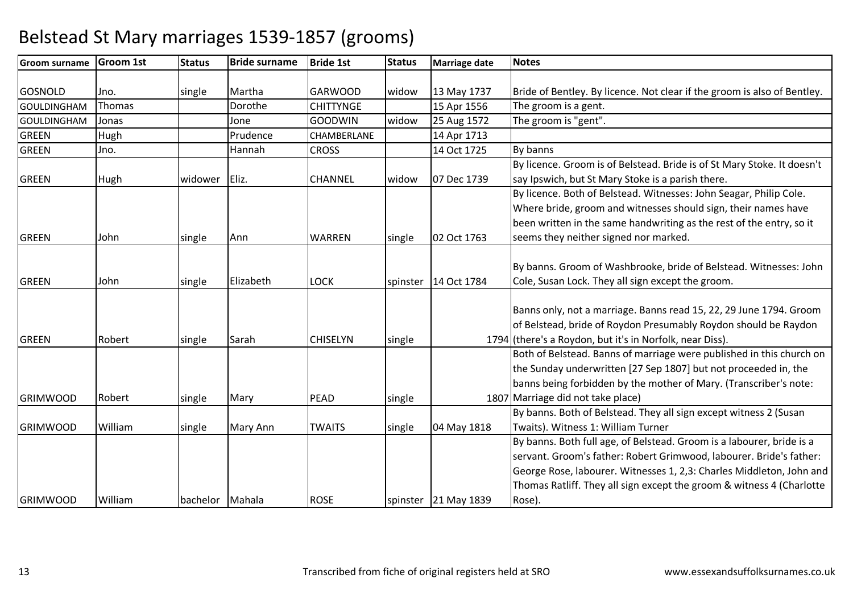| <b>Groom surname</b> | <b>Groom 1st</b> | <b>Status</b>   | <b>Bride surname</b> | <b>Bride 1st</b> | <b>Status</b> | <b>Marriage date</b>   | <b>Notes</b>                                                             |
|----------------------|------------------|-----------------|----------------------|------------------|---------------|------------------------|--------------------------------------------------------------------------|
|                      |                  |                 |                      |                  |               |                        |                                                                          |
| <b>GOSNOLD</b>       | Jno.             | single          | Martha               | <b>GARWOOD</b>   | widow         | 13 May 1737            | Bride of Bentley. By licence. Not clear if the groom is also of Bentley. |
| <b>GOULDINGHAM</b>   | Thomas           |                 | Dorothe              | <b>CHITTYNGE</b> |               | 15 Apr 1556            | The groom is a gent.                                                     |
| <b>GOULDINGHAM</b>   | Jonas            |                 | Jone                 | <b>GOODWIN</b>   | widow         | 25 Aug 1572            | The groom is "gent".                                                     |
| <b>GREEN</b>         | Hugh             |                 | Prudence             | CHAMBERLANE      |               | 14 Apr 1713            |                                                                          |
| <b>GREEN</b>         | Jno.             |                 | Hannah               | <b>CROSS</b>     |               | 14 Oct 1725            | By banns                                                                 |
|                      |                  |                 |                      |                  |               |                        | By licence. Groom is of Belstead. Bride is of St Mary Stoke. It doesn't  |
| <b>GREEN</b>         | Hugh             | widower         | Eliz.                | <b>CHANNEL</b>   | widow         | 07 Dec 1739            | say Ipswich, but St Mary Stoke is a parish there.                        |
|                      |                  |                 |                      |                  |               |                        | By licence. Both of Belstead. Witnesses: John Seagar, Philip Cole.       |
|                      |                  |                 |                      |                  |               |                        | Where bride, groom and witnesses should sign, their names have           |
|                      |                  |                 |                      |                  |               |                        | been written in the same handwriting as the rest of the entry, so it     |
| <b>GREEN</b>         | John             | single          | Ann                  | <b>WARREN</b>    | single        | 02 Oct 1763            | seems they neither signed nor marked.                                    |
|                      |                  |                 |                      |                  |               |                        |                                                                          |
|                      |                  |                 |                      |                  |               |                        | By banns. Groom of Washbrooke, bride of Belstead. Witnesses: John        |
| <b>GREEN</b>         | John             | single          | Elizabeth            | <b>LOCK</b>      |               | spinster   14 Oct 1784 | Cole, Susan Lock. They all sign except the groom.                        |
|                      |                  |                 |                      |                  |               |                        |                                                                          |
|                      |                  |                 |                      |                  |               |                        | Banns only, not a marriage. Banns read 15, 22, 29 June 1794. Groom       |
|                      |                  |                 |                      |                  |               |                        | of Belstead, bride of Roydon Presumably Roydon should be Raydon          |
| <b>GREEN</b>         | Robert           | single          | Sarah                | <b>CHISELYN</b>  | single        |                        | 1794 (there's a Roydon, but it's in Norfolk, near Diss).                 |
|                      |                  |                 |                      |                  |               |                        | Both of Belstead. Banns of marriage were published in this church on     |
|                      |                  |                 |                      |                  |               |                        | the Sunday underwritten [27 Sep 1807] but not proceeded in, the          |
|                      |                  |                 |                      |                  |               |                        | banns being forbidden by the mother of Mary. (Transcriber's note:        |
| <b>GRIMWOOD</b>      | Robert           | single          | Mary                 | PEAD             | single        |                        | 1807 Marriage did not take place)                                        |
|                      |                  |                 |                      |                  |               |                        | By banns. Both of Belstead. They all sign except witness 2 (Susan        |
| <b>GRIMWOOD</b>      | William          | single          | Mary Ann             | <b>TWAITS</b>    | single        | 04 May 1818            | Twaits). Witness 1: William Turner                                       |
|                      |                  |                 |                      |                  |               |                        | By banns. Both full age, of Belstead. Groom is a labourer, bride is a    |
|                      |                  |                 |                      |                  |               |                        | servant. Groom's father: Robert Grimwood, labourer. Bride's father:      |
|                      |                  |                 |                      |                  |               |                        | George Rose, labourer. Witnesses 1, 2,3: Charles Middleton, John and     |
|                      |                  |                 |                      |                  |               |                        | Thomas Ratliff. They all sign except the groom & witness 4 (Charlotte    |
| <b>GRIMWOOD</b>      | William          | bachelor Mahala |                      | <b>ROSE</b>      |               | spinster 21 May 1839   | Rose).                                                                   |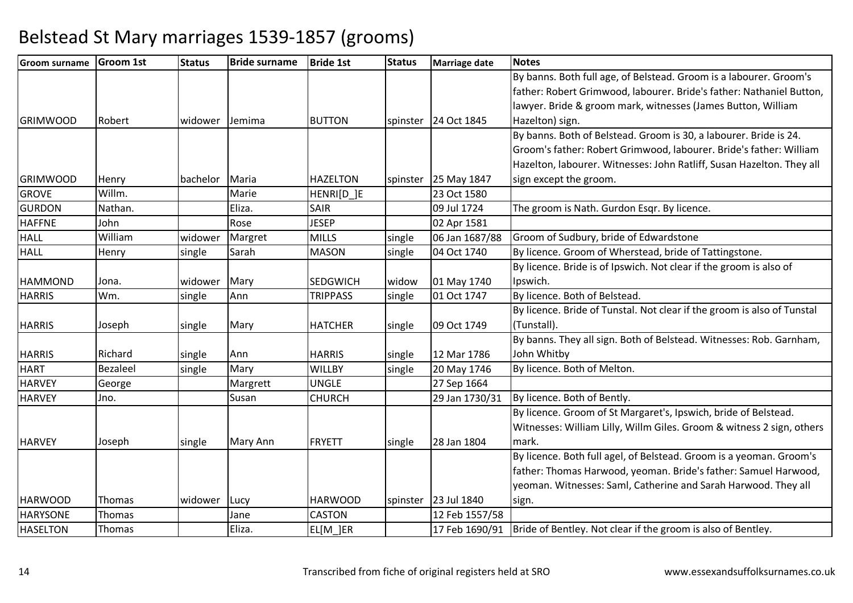| <b>Groom surname</b> | <b>Groom 1st</b> | <b>Status</b> | <b>Bride surname</b> | <b>Bride 1st</b> | <b>Status</b> | <b>Marriage date</b> | <b>Notes</b>                                                            |
|----------------------|------------------|---------------|----------------------|------------------|---------------|----------------------|-------------------------------------------------------------------------|
|                      |                  |               |                      |                  |               |                      | By banns. Both full age, of Belstead. Groom is a labourer. Groom's      |
|                      |                  |               |                      |                  |               |                      | father: Robert Grimwood, labourer. Bride's father: Nathaniel Button,    |
|                      |                  |               |                      |                  |               |                      | lawyer. Bride & groom mark, witnesses (James Button, William            |
| <b>GRIMWOOD</b>      | Robert           | widower       | Jemima               | <b>BUTTON</b>    | spinster      | 24 Oct 1845          | Hazelton) sign.                                                         |
|                      |                  |               |                      |                  |               |                      | By banns. Both of Belstead. Groom is 30, a labourer. Bride is 24.       |
|                      |                  |               |                      |                  |               |                      | Groom's father: Robert Grimwood, labourer. Bride's father: William      |
|                      |                  |               |                      |                  |               |                      | Hazelton, labourer. Witnesses: John Ratliff, Susan Hazelton. They all   |
| <b>GRIMWOOD</b>      | Henry            | bachelor      | Maria                | <b>HAZELTON</b>  |               | spinster 25 May 1847 | sign except the groom.                                                  |
| <b>GROVE</b>         | Willm.           |               | Marie                | HENRI[D_]E       |               | 23 Oct 1580          |                                                                         |
| <b>GURDON</b>        | Nathan.          |               | Eliza.               | <b>SAIR</b>      |               | 09 Jul 1724          | The groom is Nath. Gurdon Esqr. By licence.                             |
| <b>HAFFNE</b>        | John             |               | Rose                 | <b>JESEP</b>     |               | 02 Apr 1581          |                                                                         |
| <b>HALL</b>          | William          | widower       | Margret              | <b>MILLS</b>     | single        | 06 Jan 1687/88       | Groom of Sudbury, bride of Edwardstone                                  |
| <b>HALL</b>          | Henry            | single        | Sarah                | <b>MASON</b>     | single        | 04 Oct 1740          | By licence. Groom of Wherstead, bride of Tattingstone.                  |
|                      |                  |               |                      |                  |               |                      | By licence. Bride is of Ipswich. Not clear if the groom is also of      |
| <b>HAMMOND</b>       | Jona.            | widower       | Mary                 | <b>SEDGWICH</b>  | widow         | 01 May 1740          | Ipswich.                                                                |
| <b>HARRIS</b>        | Wm.              | single        | Ann                  | <b>TRIPPASS</b>  | single        | 01 Oct 1747          | By licence. Both of Belstead.                                           |
|                      |                  |               |                      |                  |               |                      | By licence. Bride of Tunstal. Not clear if the groom is also of Tunstal |
| <b>HARRIS</b>        | Joseph           | single        | Mary                 | <b>HATCHER</b>   | single        | 09 Oct 1749          | (Tunstall).                                                             |
|                      |                  |               |                      |                  |               |                      | By banns. They all sign. Both of Belstead. Witnesses: Rob. Garnham,     |
| <b>HARRIS</b>        | Richard          | single        | Ann                  | <b>HARRIS</b>    | single        | 12 Mar 1786          | John Whitby                                                             |
| <b>HART</b>          | <b>Bezaleel</b>  | single        | Mary                 | <b>WILLBY</b>    | single        | 20 May 1746          | By licence. Both of Melton.                                             |
| <b>HARVEY</b>        | George           |               | Margrett             | <b>UNGLE</b>     |               | 27 Sep 1664          |                                                                         |
| <b>HARVEY</b>        | Jno.             |               | Susan                | <b>CHURCH</b>    |               | 29 Jan 1730/31       | By licence. Both of Bently.                                             |
|                      |                  |               |                      |                  |               |                      | By licence. Groom of St Margaret's, Ipswich, bride of Belstead.         |
|                      |                  |               |                      |                  |               |                      | Witnesses: William Lilly, Willm Giles. Groom & witness 2 sign, others   |
| <b>HARVEY</b>        | Joseph           | single        | <b>Mary Ann</b>      | <b>FRYETT</b>    | single        | 28 Jan 1804          | mark.                                                                   |
|                      |                  |               |                      |                  |               |                      | By licence. Both full agel, of Belstead. Groom is a yeoman. Groom's     |
|                      |                  |               |                      |                  |               |                      | father: Thomas Harwood, yeoman. Bride's father: Samuel Harwood,         |
|                      |                  |               |                      |                  |               |                      | yeoman. Witnesses: Saml, Catherine and Sarah Harwood. They all          |
| <b>HARWOOD</b>       | Thomas           | widower       | Lucy                 | <b>HARWOOD</b>   |               | spinster 23 Jul 1840 | sign.                                                                   |
| <b>HARYSONE</b>      | Thomas           |               | Jane                 | <b>CASTON</b>    |               | 12 Feb 1557/58       |                                                                         |
| <b>HASELTON</b>      | Thomas           |               | Eliza.               | EL[M]ER          |               | 17 Feb 1690/91       | Bride of Bentley. Not clear if the groom is also of Bentley.            |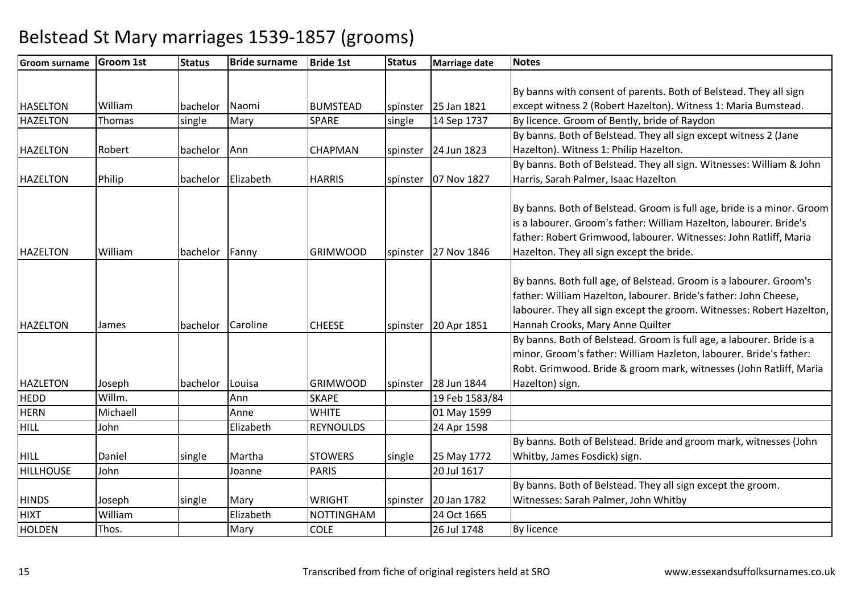| <b>Groom surname</b> | <b>Groom 1st</b> | <b>Status</b>     | <b>Bride surname</b> | <b>Bride 1st</b>  | <b>Status</b> | Marriage date            | <b>Notes</b>                                                                                                                                                                                                                                                   |
|----------------------|------------------|-------------------|----------------------|-------------------|---------------|--------------------------|----------------------------------------------------------------------------------------------------------------------------------------------------------------------------------------------------------------------------------------------------------------|
|                      |                  |                   |                      |                   |               |                          |                                                                                                                                                                                                                                                                |
|                      |                  |                   |                      |                   |               |                          | By banns with consent of parents. Both of Belstead. They all sign                                                                                                                                                                                              |
| <b>HASELTON</b>      | William          | bachelor Naomi    |                      | <b>BUMSTEAD</b>   |               | spinster 25 Jan 1821     | except witness 2 (Robert Hazelton). Witness 1: Maria Bumstead.                                                                                                                                                                                                 |
| <b>HAZELTON</b>      | Thomas           | single            | Mary                 | <b>SPARE</b>      | single        | 14 Sep 1737              | By licence. Groom of Bently, bride of Raydon                                                                                                                                                                                                                   |
|                      |                  |                   |                      |                   |               |                          | By banns. Both of Belstead. They all sign except witness 2 (Jane                                                                                                                                                                                               |
| <b>HAZELTON</b>      | Robert           | bachelor          | Ann                  | <b>CHAPMAN</b>    |               | spinster   $24$ Jun 1823 | Hazelton). Witness 1: Philip Hazelton.                                                                                                                                                                                                                         |
|                      |                  |                   |                      |                   |               |                          | By banns. Both of Belstead. They all sign. Witnesses: William & John                                                                                                                                                                                           |
| <b>HAZELTON</b>      | Philip           | bachelor          | Elizabeth            | <b>HARRIS</b>     |               | spinster   07 Nov 1827   | Harris, Sarah Palmer, Isaac Hazelton                                                                                                                                                                                                                           |
| <b>HAZELTON</b>      | William          | bachelor          | Fanny                | <b>GRIMWOOD</b>   |               | spinster 27 Nov 1846     | By banns. Both of Belstead. Groom is full age, bride is a minor. Groom<br>is a labourer. Groom's father: William Hazelton, labourer. Bride's<br>father: Robert Grimwood, labourer. Witnesses: John Ratliff, Maria<br>Hazelton. They all sign except the bride. |
| <b>HAZELTON</b>      | James            | bachelor Caroline |                      | <b>CHEESE</b>     |               | spinster   20 Apr 1851   | By banns. Both full age, of Belstead. Groom is a labourer. Groom's<br>father: William Hazelton, labourer. Bride's father: John Cheese,<br>labourer. They all sign except the groom. Witnesses: Robert Hazelton,<br>Hannah Crooks, Mary Anne Quilter            |
| <b>HAZLETON</b>      | Joseph           | bachelor          | Louisa               | <b>GRIMWOOD</b>   |               | spinster   28 Jun 1844   | By banns. Both of Belstead. Groom is full age, a labourer. Bride is a<br>minor. Groom's father: William Hazleton, labourer. Bride's father:<br>Robt. Grimwood. Bride & groom mark, witnesses (John Ratliff, Maria<br>Hazelton) sign.                           |
| <b>HEDD</b>          | Willm.           |                   | Ann                  | <b>SKAPE</b>      |               | 19 Feb 1583/84           |                                                                                                                                                                                                                                                                |
| <b>HERN</b>          | Michaell         |                   | Anne                 | <b>WHITE</b>      |               | 01 May 1599              |                                                                                                                                                                                                                                                                |
| HILL                 | John             |                   | Elizabeth            | <b>REYNOULDS</b>  |               | 24 Apr 1598              |                                                                                                                                                                                                                                                                |
| <b>HILL</b>          | Daniel           | single            | Martha               | <b>STOWERS</b>    | single        | 25 May 1772              | By banns. Both of Belstead. Bride and groom mark, witnesses (John<br>Whitby, James Fosdick) sign.                                                                                                                                                              |
| <b>HILLHOUSE</b>     | John             |                   | Joanne               | <b>PARIS</b>      |               | 20 Jul 1617              |                                                                                                                                                                                                                                                                |
|                      |                  |                   |                      |                   |               |                          | By banns. Both of Belstead. They all sign except the groom.                                                                                                                                                                                                    |
| <b>HINDS</b>         | Joseph           | single            | Mary                 | <b>WRIGHT</b>     |               | spinster   20 Jan 1782   | Witnesses: Sarah Palmer, John Whitby                                                                                                                                                                                                                           |
| <b>HIXT</b>          | William          |                   | Elizabeth            | <b>NOTTINGHAM</b> |               | 24 Oct 1665              |                                                                                                                                                                                                                                                                |
| <b>HOLDEN</b>        | Thos.            |                   | Mary                 | <b>COLE</b>       |               | 26 Jul 1748              | <b>By licence</b>                                                                                                                                                                                                                                              |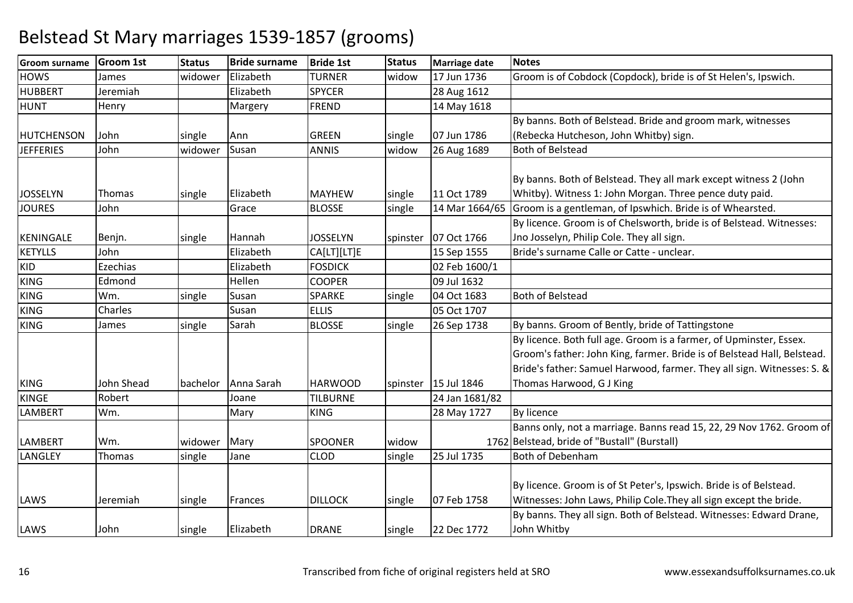| <b>Groom surname</b> | <b>Groom 1st</b> | <b>Status</b> | <b>Bride surname</b> | <b>Bride 1st</b> | <b>Status</b> | <b>Marriage date</b>   | <b>Notes</b>                                                            |
|----------------------|------------------|---------------|----------------------|------------------|---------------|------------------------|-------------------------------------------------------------------------|
| <b>HOWS</b>          | James            | widower       | Elizabeth            | <b>TURNER</b>    | widow         | 17 Jun 1736            | Groom is of Cobdock (Copdock), bride is of St Helen's, Ipswich.         |
| <b>HUBBERT</b>       | Jeremiah         |               | Elizabeth            | <b>SPYCER</b>    |               | 28 Aug 1612            |                                                                         |
| <b>HUNT</b>          | Henry            |               | Margery              | <b>FREND</b>     |               | 14 May 1618            |                                                                         |
|                      |                  |               |                      |                  |               |                        | By banns. Both of Belstead. Bride and groom mark, witnesses             |
| <b>HUTCHENSON</b>    | John             | single        | Ann                  | <b>GREEN</b>     | single        | 07 Jun 1786            | (Rebecka Hutcheson, John Whitby) sign.                                  |
| <b>JEFFERIES</b>     | John             | widower       | Susan                | <b>ANNIS</b>     | widow         | 26 Aug 1689            | <b>Both of Belstead</b>                                                 |
|                      |                  |               |                      |                  |               |                        |                                                                         |
|                      |                  |               |                      |                  |               |                        | By banns. Both of Belstead. They all mark except witness 2 (John        |
| <b>JOSSELYN</b>      | <b>Thomas</b>    | single        | Elizabeth            | <b>MAYHEW</b>    | single        | 11 Oct 1789            | Whitby). Witness 1: John Morgan. Three pence duty paid.                 |
| <b>JOURES</b>        | John             |               | Grace                | <b>BLOSSE</b>    | single        | 14 Mar 1664/65         | Groom is a gentleman, of Ipswhich. Bride is of Whearsted.               |
|                      |                  |               |                      |                  |               |                        | By licence. Groom is of Chelsworth, bride is of Belstead. Witnesses:    |
| KENINGALE            | Benjn.           | single        | Hannah               | <b>JOSSELYN</b>  |               | spinster   07 Oct 1766 | Jno Josselyn, Philip Cole. They all sign.                               |
| <b>KETYLLS</b>       | John             |               | Elizabeth            | CA[LT][LT]E      |               | 15 Sep 1555            | Bride's surname Calle or Catte - unclear.                               |
| <b>KID</b>           | Ezechias         |               | Elizabeth            | <b>FOSDICK</b>   |               | 02 Feb 1600/1          |                                                                         |
| <b>KING</b>          | Edmond           |               | Hellen               | <b>COOPER</b>    |               | 09 Jul 1632            |                                                                         |
| <b>KING</b>          | Wm.              | single        | Susan                | SPARKE           | single        | 04 Oct 1683            | <b>Both of Belstead</b>                                                 |
| <b>KING</b>          | Charles          |               | Susan                | <b>ELLIS</b>     |               | 05 Oct 1707            |                                                                         |
| <b>KING</b>          | James            | single        | Sarah                | <b>BLOSSE</b>    | single        | 26 Sep 1738            | By banns. Groom of Bently, bride of Tattingstone                        |
|                      |                  |               |                      |                  |               |                        | By licence. Both full age. Groom is a farmer, of Upminster, Essex.      |
|                      |                  |               |                      |                  |               |                        | Groom's father: John King, farmer. Bride is of Belstead Hall, Belstead. |
|                      |                  |               |                      |                  |               |                        | Bride's father: Samuel Harwood, farmer. They all sign. Witnesses: S. &  |
| <b>KING</b>          | John Shead       | bachelor      | Anna Sarah           | <b>HARWOOD</b>   |               | spinster   15 Jul 1846 | Thomas Harwood, G J King                                                |
| <b>KINGE</b>         | Robert           |               | Joane                | <b>TILBURNE</b>  |               | 24 Jan 1681/82         |                                                                         |
| <b>LAMBERT</b>       | Wm.              |               | Mary                 | <b>KING</b>      |               | 28 May 1727            | <b>By licence</b>                                                       |
|                      |                  |               |                      |                  |               |                        | Banns only, not a marriage. Banns read 15, 22, 29 Nov 1762. Groom of    |
| <b>LAMBERT</b>       | Wm.              | widower       | Mary                 | <b>SPOONER</b>   | widow         |                        | 1762 Belstead, bride of "Bustall" (Burstall)                            |
| LANGLEY              | Thomas           | single        | Jane                 | <b>CLOD</b>      | single        | 25 Jul 1735            | <b>Both of Debenham</b>                                                 |
|                      |                  |               |                      |                  |               |                        |                                                                         |
|                      |                  |               |                      |                  |               |                        | By licence. Groom is of St Peter's, Ipswich. Bride is of Belstead.      |
| LAWS                 | Jeremiah         | single        | Frances              | <b>DILLOCK</b>   | single        | 07 Feb 1758            | Witnesses: John Laws, Philip Cole. They all sign except the bride.      |
|                      |                  |               |                      |                  |               |                        | By banns. They all sign. Both of Belstead. Witnesses: Edward Drane,     |
| LAWS                 | John             | single        | Elizabeth            | <b>DRANE</b>     | single        | 22 Dec 1772            | John Whitby                                                             |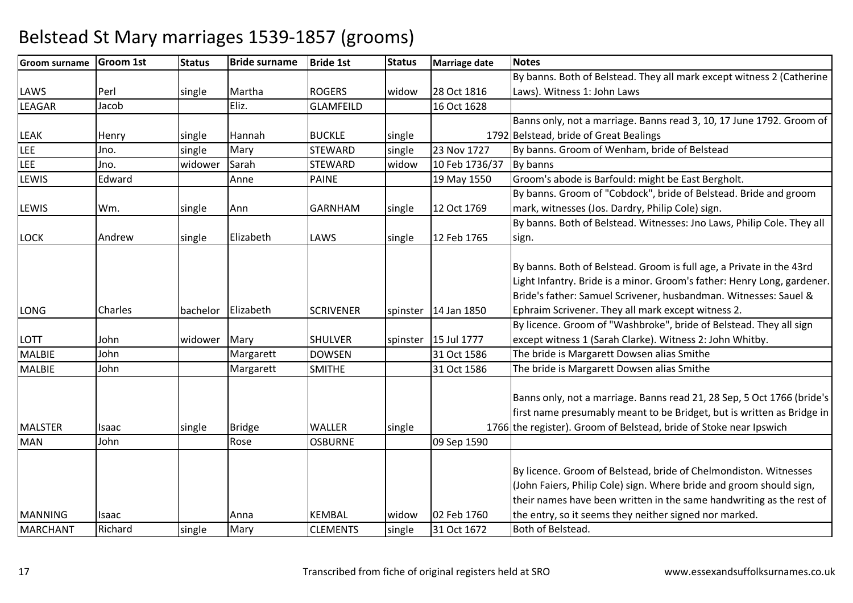#### **Groom surname Groom 1st Status Bride surname Bride 1st Status Marriage date Notes** LAWSPerl single Martha ROGERS widow 28 Oct 1816<br>Fliz. GLAMFFILD 16 Oct 1628 D 16 Oct 1628 By banns. Both of Belstead. They all mark except witness 2 (Catherine Laws). Witness 1: John LawsLEAGARR Jacob | Eliz. GLAMFEILD LEAKK Henry single Hannah BUCKLE single 1792 Banns only, not a marriage. Banns read 3, 10, 17 June 1792. Groom of 1792 Belstead, bride of Great Bealings LEEE Jno. single single Mary STEWARD single 23 Nov 1727 By banns. Groom of Wenham, bride of Belstead<br>widow 10 Feb 1736/37 By banns LEE Jno. widower SarahSTEWARD<br>PAINE widow10 Feb 1736/37 LEWIS EdwardAnne | PAINE | 19 May 1550 Groom's abode is Barfould: might be East Bergholt. LEWISWm. single AnnGARNHAM single 12 Oct 1769 By banns. Groom of "Cobdock", bride of Belstead. Bride and groom mark, witnesses (Jos. Dardry, Philip Cole) sign.LOCK Andreww single Elizabeth LAWS single 12 Feb 1765 By banns. Both of Belstead. Witnesses: Jno Laws, Philip Cole. They all sign.LONG Charles bachelor Elizabeth SCRIVENER spinster 14 Jan 1850 By banns. Both of Belstead. Groom is full age, a Private in the 43rd Light Infantry. Bride is a minor. Groom's father: Henry Long, gardener. Bride's father: Samuel Scrivener, husbandman. Witnesses: Sauel & Ephraim Scrivener. They all mark except witness 2.LOTT Johnwidower Mary SHULVER Spinster 15 Jul 1777<br>Margarett DOWSEN 31 Oct 1586 31 Oct 1586 By licence. Groom of "Washbroke", bride of Belstead. They all sign except witness 1 (Sarah Clarke). Witness 2: John Whitby.MALBIE JohnMargarett DOWSEN 1531 Oct 1586 The bride is Margarett Dowsen alias Smithe<br>
SMITHE 31 Oct 1586 The bride is Margarett Dowsen alias Smithe MALBIE Johnn Margarett SMITHE 131 Oct 1586 The bride is Margarett Dowsen alias Smithe MALSTERR Isaac single Bridge WALLER single 1766 Banns only, not a marriage. Banns read 21, 28 Sep, 5 Oct 1766 (bride's first name presumably meant to be Bridget, but is written as Bridge in 1766 the register). Groom of Belstead, bride of Stoke near Ipswich MANN John Rose OSBURNE 09 Sep 1590 MANNINGG Isaac Anna KEMBAL widow 02 Feb 1760 By licence. Groom of Belstead, bride of Chelmondiston. Witnesses (John Faiers, Philip Cole) sign. Where bride and groom should sign, their names have been written in the same handwriting as the rest of the entry, so it seems they neither signed nor marked.MARCHANT Richardd Single Mary CLEMENTS single 31 Oct 1672 31 Oct 1672 Both of Belstead.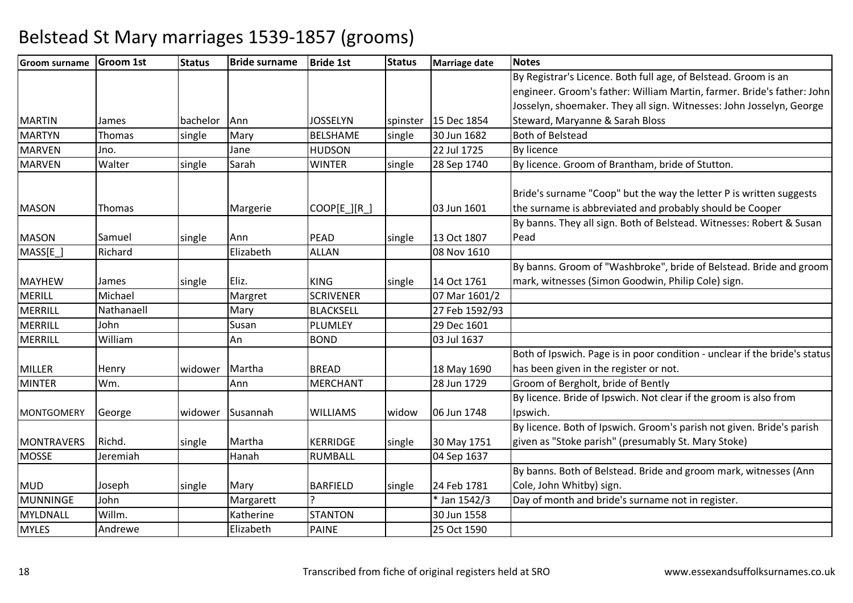| <b>Groom surname</b> | <b>Groom 1st</b> | <b>Status</b> | <b>Bride surname</b> | <b>Bride 1st</b> | <b>Status</b> | <b>Marriage date</b>   | <b>Notes</b>                                                               |
|----------------------|------------------|---------------|----------------------|------------------|---------------|------------------------|----------------------------------------------------------------------------|
|                      |                  |               |                      |                  |               |                        | By Registrar's Licence. Both full age, of Belstead. Groom is an            |
|                      |                  |               |                      |                  |               |                        | engineer. Groom's father: William Martin, farmer. Bride's father: John     |
|                      |                  |               |                      |                  |               |                        | Josselyn, shoemaker. They all sign. Witnesses: John Josselyn, George       |
| <b>MARTIN</b>        | James            | bachelor      | Ann                  | <b>JOSSELYN</b>  |               | spinster   15 Dec 1854 | Steward, Maryanne & Sarah Bloss                                            |
| <b>MARTYN</b>        | Thomas           | single        | Mary                 | <b>BELSHAME</b>  | single        | 30 Jun 1682            | <b>Both of Belstead</b>                                                    |
| <b>MARVEN</b>        | Jno.             |               | Jane                 | <b>HUDSON</b>    |               | 22 Jul 1725            | <b>By licence</b>                                                          |
| <b>MARVEN</b>        | Walter           | single        | Sarah                | <b>WINTER</b>    | single        | 28 Sep 1740            | By licence. Groom of Brantham, bride of Stutton.                           |
|                      |                  |               |                      |                  |               |                        |                                                                            |
|                      |                  |               |                      |                  |               |                        | Bride's surname "Coop" but the way the letter P is written suggests        |
| <b>MASON</b>         | Thomas           |               | Margerie             | COOP[E_][R_]     |               | 03 Jun 1601            | the surname is abbreviated and probably should be Cooper                   |
|                      |                  |               |                      |                  |               |                        | By banns. They all sign. Both of Belstead. Witnesses: Robert & Susan       |
| <b>MASON</b>         | Samuel           | single        | Ann                  | PEAD             | single        | 13 Oct 1807            | Pead                                                                       |
| MASS[E_]             | Richard          |               | Elizabeth            | <b>ALLAN</b>     |               | 08 Nov 1610            |                                                                            |
|                      |                  |               |                      |                  |               |                        | By banns. Groom of "Washbroke", bride of Belstead. Bride and groom         |
| <b>MAYHEW</b>        | James            | single        | Eliz.                | <b>KING</b>      | single        | 14 Oct 1761            | mark, witnesses (Simon Goodwin, Philip Cole) sign.                         |
| <b>MERILL</b>        | Michael          |               | Margret              | <b>SCRIVENER</b> |               | 07 Mar 1601/2          |                                                                            |
| MERRILL              | Nathanaell       |               | Mary                 | <b>BLACKSELL</b> |               | 27 Feb 1592/93         |                                                                            |
| MERRILL              | John             |               | Susan                | PLUMLEY          |               | 29 Dec 1601            |                                                                            |
| MERRILL              | William          |               | An                   | <b>BOND</b>      |               | 03 Jul 1637            |                                                                            |
|                      |                  |               |                      |                  |               |                        | Both of Ipswich. Page is in poor condition - unclear if the bride's status |
| <b>MILLER</b>        | Henry            | widower       | Martha               | <b>BREAD</b>     |               | 18 May 1690            | has been given in the register or not.                                     |
| <b>MINTER</b>        | Wm.              |               | Ann                  | <b>MERCHANT</b>  |               | 28 Jun 1729            | Groom of Bergholt, bride of Bently                                         |
|                      |                  |               |                      |                  |               |                        | By licence. Bride of Ipswich. Not clear if the groom is also from          |
| <b>MONTGOMERY</b>    | George           | widower       | Susannah             | <b>WILLIAMS</b>  | widow         | 06 Jun 1748            | Ipswich.                                                                   |
|                      |                  |               |                      |                  |               |                        | By licence. Both of Ipswich. Groom's parish not given. Bride's parish      |
| <b>MONTRAVERS</b>    | Richd.           | single        | Martha               | <b>KERRIDGE</b>  | single        | 30 May 1751            | given as "Stoke parish" (presumably St. Mary Stoke)                        |
| <b>MOSSE</b>         | Jeremiah         |               | Hanah                | <b>RUMBALL</b>   |               | 04 Sep 1637            |                                                                            |
|                      |                  |               |                      |                  |               |                        | By banns. Both of Belstead. Bride and groom mark, witnesses (Ann           |
| <b>MUD</b>           | Joseph           | single        | Mary                 | <b>BARFIELD</b>  | single        | 24 Feb 1781            | Cole, John Whitby) sign.                                                   |
| <b>MUNNINGE</b>      | John             |               | Margarett            | <b>C</b>         |               | * Jan 1542/3           | Day of month and bride's surname not in register.                          |
| MYLDNALL             | Willm.           |               | Katherine            | <b>STANTON</b>   |               | 30 Jun 1558            |                                                                            |
| <b>MYLES</b>         | Andrewe          |               | Elizabeth            | <b>PAINE</b>     |               | 25 Oct 1590            |                                                                            |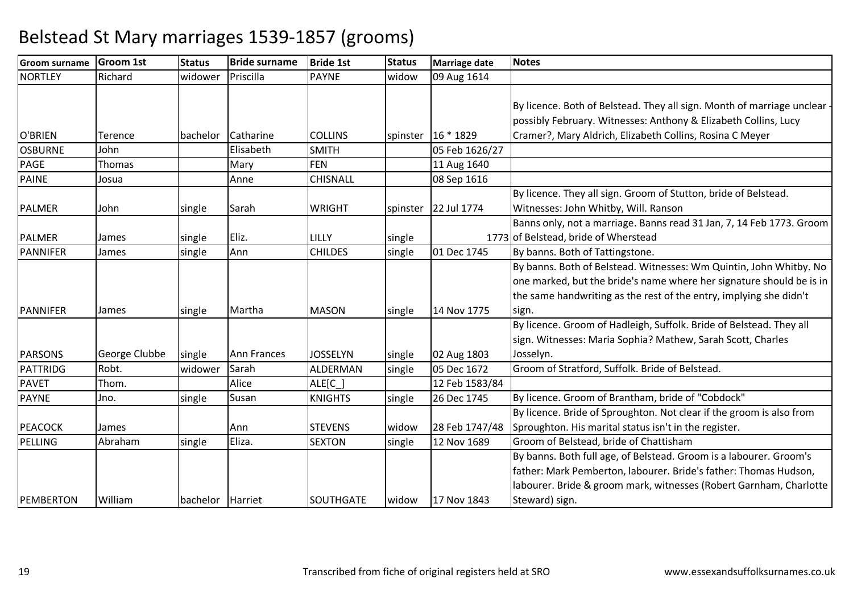| <b>Groom surname</b> | <b>Groom 1st</b> | <b>Status</b> | <b>Bride surname</b>   | <b>Bride 1st</b> | <b>Status</b> | <b>Marriage date</b> | <b>Notes</b>                                                                                                                              |
|----------------------|------------------|---------------|------------------------|------------------|---------------|----------------------|-------------------------------------------------------------------------------------------------------------------------------------------|
| <b>NORTLEY</b>       | Richard          | widower       | Priscilla              | <b>PAYNE</b>     | widow         | 09 Aug 1614          |                                                                                                                                           |
|                      |                  |               |                        |                  |               |                      | By licence. Both of Belstead. They all sign. Month of marriage unclear<br>possibly February. Witnesses: Anthony & Elizabeth Collins, Lucy |
| O'BRIEN              |                  |               |                        | <b>COLLINS</b>   |               |                      |                                                                                                                                           |
|                      | Terence<br>John  | bachelor      | Catharine<br>Elisabeth |                  |               | spinster   16 * 1829 | Cramer?, Mary Aldrich, Elizabeth Collins, Rosina C Meyer                                                                                  |
| <b>OSBURNE</b>       |                  |               |                        | <b>SMITH</b>     |               | 05 Feb 1626/27       |                                                                                                                                           |
| <b>PAGE</b>          | Thomas           |               | Mary                   | <b>FEN</b>       |               | 11 Aug 1640          |                                                                                                                                           |
| <b>PAINE</b>         | Josua            |               | Anne                   | CHISNALL         |               | 08 Sep 1616          |                                                                                                                                           |
|                      |                  |               |                        |                  |               |                      | By licence. They all sign. Groom of Stutton, bride of Belstead.                                                                           |
| <b>PALMER</b>        | John             | single        | Sarah                  | <b>WRIGHT</b>    | spinster      | 22 Jul 1774          | Witnesses: John Whitby, Will. Ranson                                                                                                      |
|                      |                  |               |                        |                  |               |                      | Banns only, not a marriage. Banns read 31 Jan, 7, 14 Feb 1773. Groom                                                                      |
| <b>PALMER</b>        | James            | single        | Eliz.                  | LILLY            | single        |                      | 1773 of Belstead, bride of Wherstead                                                                                                      |
| <b>PANNIFER</b>      | James            | single        | Ann                    | <b>CHILDES</b>   | single        | 01 Dec 1745          | By banns. Both of Tattingstone.                                                                                                           |
|                      |                  |               |                        |                  |               |                      | By banns. Both of Belstead. Witnesses: Wm Quintin, John Whitby. No                                                                        |
|                      |                  |               |                        |                  |               |                      | one marked, but the bride's name where her signature should be is in                                                                      |
|                      |                  |               |                        |                  |               |                      | the same handwriting as the rest of the entry, implying she didn't                                                                        |
| PANNIFER             | James            | single        | Martha                 | <b>MASON</b>     | single        | 14 Nov 1775          | sign.                                                                                                                                     |
|                      |                  |               |                        |                  |               |                      | By licence. Groom of Hadleigh, Suffolk. Bride of Belstead. They all                                                                       |
|                      |                  |               |                        |                  |               |                      | sign. Witnesses: Maria Sophia? Mathew, Sarah Scott, Charles                                                                               |
| <b>PARSONS</b>       | George Clubbe    | single        | <b>Ann Frances</b>     | <b>JOSSELYN</b>  | single        | 02 Aug 1803          | Josselyn.                                                                                                                                 |
| PATTRIDG             | Robt.            | widower       | Sarah                  | ALDERMAN         | single        | 05 Dec 1672          | Groom of Stratford, Suffolk. Bride of Belstead.                                                                                           |
| <b>PAVET</b>         | Thom.            |               | Alice                  | ALE[C_]          |               | 12 Feb 1583/84       |                                                                                                                                           |
| <b>PAYNE</b>         | Jno.             | single        | Susan                  | <b>KNIGHTS</b>   | single        | 26 Dec 1745          | By licence. Groom of Brantham, bride of "Cobdock"                                                                                         |
|                      |                  |               |                        |                  |               |                      | By licence. Bride of Sproughton. Not clear if the groom is also from                                                                      |
| <b>PEACOCK</b>       | James            |               | Ann                    | <b>STEVENS</b>   | widow         | 28 Feb 1747/48       | Sproughton. His marital status isn't in the register.                                                                                     |
| PELLING              | Abraham          | single        | Eliza.                 | <b>SEXTON</b>    | single        | 12 Nov 1689          | Groom of Belstead, bride of Chattisham                                                                                                    |
|                      |                  |               |                        |                  |               |                      | By banns. Both full age, of Belstead. Groom is a labourer. Groom's                                                                        |
|                      |                  |               |                        |                  |               |                      | father: Mark Pemberton, labourer. Bride's father: Thomas Hudson,                                                                          |
|                      |                  |               |                        |                  |               |                      | labourer. Bride & groom mark, witnesses (Robert Garnham, Charlotte                                                                        |
| PEMBERTON            | William          | bachelor      | Harriet                | SOUTHGATE        | widow         | 17 Nov 1843          | Steward) sign.                                                                                                                            |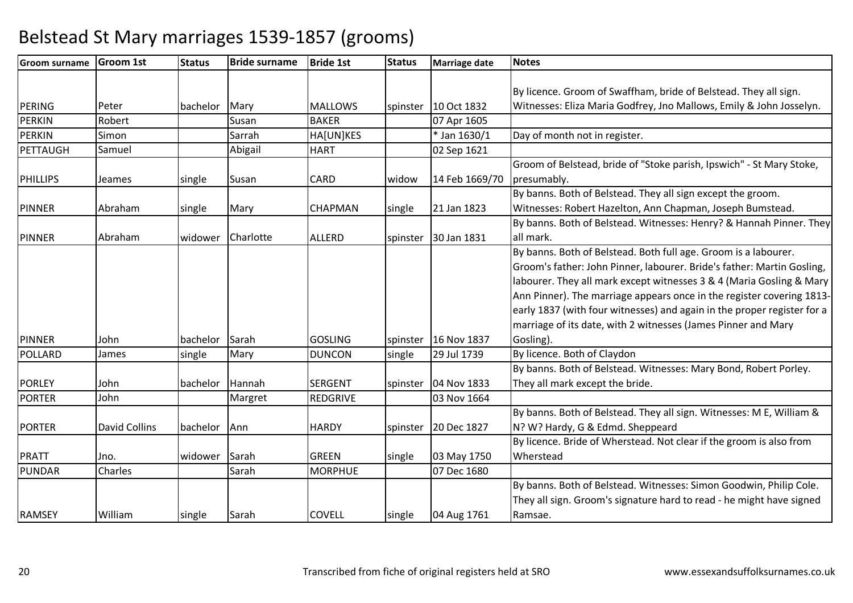| <b>Groom surname</b> | <b>Groom 1st</b>     | <b>Status</b> | <b>Bride surname</b> | <b>Bride 1st</b> | <b>Status</b> | <b>Marriage date</b> | <b>Notes</b>                                                            |
|----------------------|----------------------|---------------|----------------------|------------------|---------------|----------------------|-------------------------------------------------------------------------|
|                      |                      |               |                      |                  |               |                      |                                                                         |
|                      |                      |               |                      |                  |               |                      | By licence. Groom of Swaffham, bride of Belstead. They all sign.        |
| PERING               | Peter                | bachelor      | Mary                 | <b>MALLOWS</b>   | spinster      | 10 Oct 1832          | Witnesses: Eliza Maria Godfrey, Jno Mallows, Emily & John Josselyn.     |
| <b>PERKIN</b>        | Robert               |               | Susan                | <b>BAKER</b>     |               | 07 Apr 1605          |                                                                         |
| <b>PERKIN</b>        | Simon                |               | Sarrah               | HA[UN]KES        |               | * Jan 1630/1         | Day of month not in register.                                           |
| PETTAUGH             | Samuel               |               | Abigail              | <b>HART</b>      |               | 02 Sep 1621          |                                                                         |
|                      |                      |               |                      |                  |               |                      | Groom of Belstead, bride of "Stoke parish, Ipswich" - St Mary Stoke,    |
| <b>PHILLIPS</b>      | Jeames               | single        | Susan                | <b>CARD</b>      | widow         | 14 Feb 1669/70       | presumably.                                                             |
|                      |                      |               |                      |                  |               |                      | By banns. Both of Belstead. They all sign except the groom.             |
| <b>PINNER</b>        | Abraham              | single        | Mary                 | <b>CHAPMAN</b>   | single        | 21 Jan 1823          | Witnesses: Robert Hazelton, Ann Chapman, Joseph Bumstead.               |
|                      |                      |               |                      |                  |               |                      | By banns. Both of Belstead. Witnesses: Henry? & Hannah Pinner. They     |
| <b>PINNER</b>        | Abraham              | widower       | Charlotte            | <b>ALLERD</b>    | spinster      | 30 Jan 1831          | all mark.                                                               |
|                      |                      |               |                      |                  |               |                      | By banns. Both of Belstead. Both full age. Groom is a labourer.         |
|                      |                      |               |                      |                  |               |                      | Groom's father: John Pinner, labourer. Bride's father: Martin Gosling,  |
|                      |                      |               |                      |                  |               |                      | labourer. They all mark except witnesses 3 & 4 (Maria Gosling & Mary    |
|                      |                      |               |                      |                  |               |                      | Ann Pinner). The marriage appears once in the register covering 1813-   |
|                      |                      |               |                      |                  |               |                      | early 1837 (with four witnesses) and again in the proper register for a |
|                      |                      |               |                      |                  |               |                      | marriage of its date, with 2 witnesses (James Pinner and Mary           |
| <b>PINNER</b>        | John                 | bachelor      | Sarah                | <b>GOSLING</b>   | spinster      | 16 Nov 1837          | Gosling).                                                               |
| POLLARD              | James                | single        | Mary                 | <b>DUNCON</b>    | single        | 29 Jul 1739          | By licence. Both of Claydon                                             |
|                      |                      |               |                      |                  |               |                      | By banns. Both of Belstead. Witnesses: Mary Bond, Robert Porley.        |
| <b>PORLEY</b>        | John                 | bachelor      | Hannah               | <b>SERGENT</b>   | spinster      | 04 Nov 1833          | They all mark except the bride.                                         |
| <b>PORTER</b>        | John                 |               | Margret              | <b>REDGRIVE</b>  |               | 03 Nov 1664          |                                                                         |
|                      |                      |               |                      |                  |               |                      | By banns. Both of Belstead. They all sign. Witnesses: M E, William &    |
| <b>PORTER</b>        | <b>David Collins</b> | bachelor      | Ann                  | <b>HARDY</b>     | spinster      | 20 Dec 1827          | N? W? Hardy, G & Edmd. Sheppeard                                        |
|                      |                      |               |                      |                  |               |                      | By licence. Bride of Wherstead. Not clear if the groom is also from     |
| <b>PRATT</b>         | Jno.                 | widower       | Sarah                | <b>GREEN</b>     | single        | 03 May 1750          | Wherstead                                                               |
| <b>PUNDAR</b>        | Charles              |               | Sarah                | <b>MORPHUE</b>   |               | 07 Dec 1680          |                                                                         |
|                      |                      |               |                      |                  |               |                      | By banns. Both of Belstead. Witnesses: Simon Goodwin, Philip Cole.      |
|                      |                      |               |                      |                  |               |                      | They all sign. Groom's signature hard to read - he might have signed    |
| <b>RAMSEY</b>        | William              | single        | Sarah                | COVELL           | single        | 04 Aug 1761          | Ramsae.                                                                 |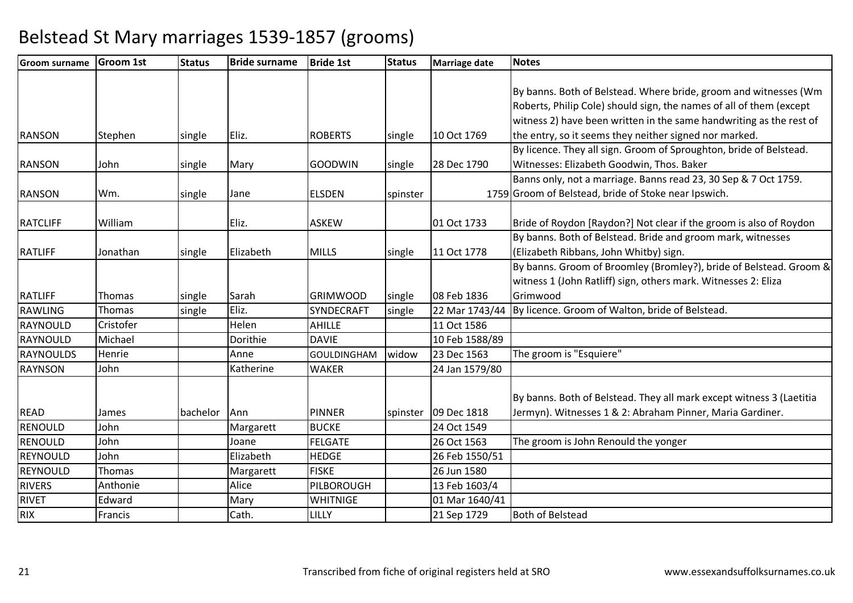| <b>Groom surname</b> | <b>Groom 1st</b> | <b>Status</b> | <b>Bride surname</b> | <b>Bride 1st</b>   | <b>Status</b> | <b>Marriage date</b>   | <b>Notes</b>                                                         |
|----------------------|------------------|---------------|----------------------|--------------------|---------------|------------------------|----------------------------------------------------------------------|
|                      |                  |               |                      |                    |               |                        |                                                                      |
|                      |                  |               |                      |                    |               |                        | By banns. Both of Belstead. Where bride, groom and witnesses (Wm     |
|                      |                  |               |                      |                    |               |                        | Roberts, Philip Cole) should sign, the names of all of them (except  |
|                      |                  |               |                      |                    |               |                        | witness 2) have been written in the same handwriting as the rest of  |
| <b>RANSON</b>        | Stephen          | single        | Eliz.                | <b>ROBERTS</b>     | single        | 10 Oct 1769            | the entry, so it seems they neither signed nor marked.               |
|                      |                  |               |                      |                    |               |                        | By licence. They all sign. Groom of Sproughton, bride of Belstead.   |
| <b>RANSON</b>        | John.            | single        | Mary                 | <b>GOODWIN</b>     | single        | 28 Dec 1790            | Witnesses: Elizabeth Goodwin, Thos. Baker                            |
|                      |                  |               |                      |                    |               |                        | Banns only, not a marriage. Banns read 23, 30 Sep & 7 Oct 1759.      |
| <b>RANSON</b>        | Wm.              | single        | Jane                 | <b>ELSDEN</b>      | spinster      |                        | 1759 Groom of Belstead, bride of Stoke near Ipswich.                 |
|                      |                  |               |                      |                    |               |                        |                                                                      |
| <b>RATCLIFF</b>      | William          |               | Eliz.                | <b>ASKEW</b>       |               | 01 Oct 1733            | Bride of Roydon [Raydon?] Not clear if the groom is also of Roydon   |
|                      |                  |               |                      |                    |               |                        | By banns. Both of Belstead. Bride and groom mark, witnesses          |
| <b>RATLIFF</b>       | Jonathan         | single        | Elizabeth            | <b>MILLS</b>       | single        | 11 Oct 1778            | (Elizabeth Ribbans, John Whitby) sign.                               |
|                      |                  |               |                      |                    |               |                        | By banns. Groom of Broomley (Bromley?), bride of Belstead. Groom &   |
|                      |                  |               |                      |                    |               |                        | witness 1 (John Ratliff) sign, others mark. Witnesses 2: Eliza       |
| <b>RATLIFF</b>       | Thomas           | single        | Sarah                | <b>GRIMWOOD</b>    | single        | 08 Feb 1836            | Grimwood                                                             |
| RAWLING              | Thomas           | single        | Eliz.                | SYNDECRAFT         | single        | 22 Mar 1743/44         | By licence. Groom of Walton, bride of Belstead.                      |
| RAYNOULD             | Cristofer        |               | Helen                | <b>AHILLE</b>      |               | 11 Oct 1586            |                                                                      |
| RAYNOULD             | Michael          |               | Dorithie             | <b>DAVIE</b>       |               | 10 Feb 1588/89         |                                                                      |
| <b>RAYNOULDS</b>     | Henrie           |               | Anne                 | <b>GOULDINGHAM</b> | widow         | 23 Dec 1563            | The groom is "Esquiere"                                              |
| <b>RAYNSON</b>       | John             |               | Katherine            | <b>WAKER</b>       |               | 24 Jan 1579/80         |                                                                      |
|                      |                  |               |                      |                    |               |                        |                                                                      |
|                      |                  |               |                      |                    |               |                        | By banns. Both of Belstead. They all mark except witness 3 (Laetitia |
| <b>READ</b>          | James            | bachelor      | Ann                  | <b>PINNER</b>      |               | spinster   09 Dec 1818 | Jermyn). Witnesses 1 & 2: Abraham Pinner, Maria Gardiner.            |
| <b>RENOULD</b>       | John             |               | Margarett            | <b>BUCKE</b>       |               | 24 Oct 1549            |                                                                      |
| <b>RENOULD</b>       | John             |               | Joane                | <b>FELGATE</b>     |               | 26 Oct 1563            | The groom is John Renould the yonger                                 |
| REYNOULD             | John             |               | Elizabeth            | <b>HEDGE</b>       |               | 26 Feb 1550/51         |                                                                      |
| REYNOULD             | Thomas           |               | Margarett            | <b>FISKE</b>       |               | 26 Jun 1580            |                                                                      |
| <b>RIVERS</b>        | Anthonie         |               | Alice                | PILBOROUGH         |               | 13 Feb 1603/4          |                                                                      |
| <b>RIVET</b>         | Edward           |               | Mary                 | <b>WHITNIGE</b>    |               | 01 Mar 1640/41         |                                                                      |
| <b>RIX</b>           | Francis          |               | Cath.                | LILLY              |               | 21 Sep 1729            | <b>Both of Belstead</b>                                              |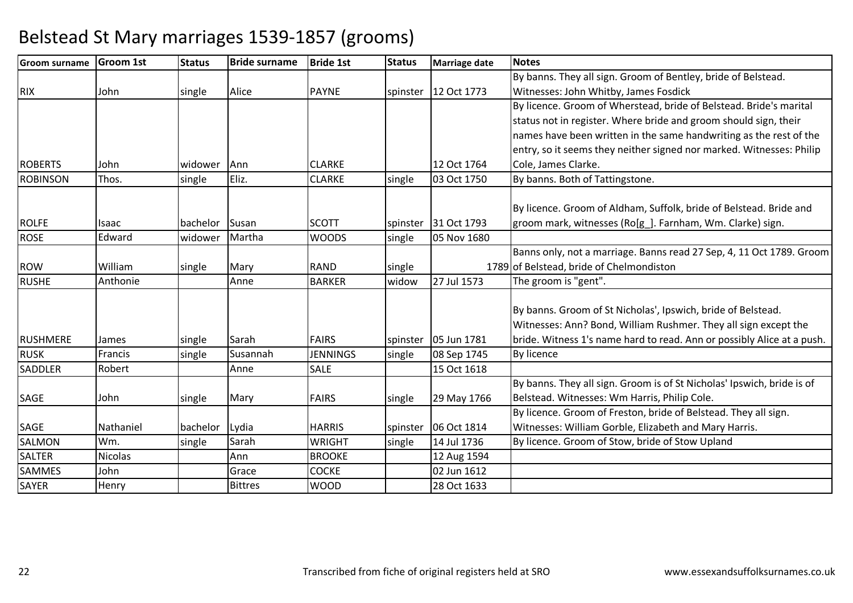| <b>Groom surname</b> | <b>Groom 1st</b> | <b>Status</b> | <b>Bride surname</b> | <b>Bride 1st</b> | <b>Status</b> | <b>Marriage date</b>   | <b>Notes</b>                                                           |
|----------------------|------------------|---------------|----------------------|------------------|---------------|------------------------|------------------------------------------------------------------------|
|                      |                  |               |                      |                  |               |                        | By banns. They all sign. Groom of Bentley, bride of Belstead.          |
| <b>RIX</b>           | John             | single        | Alice                | <b>PAYNE</b>     |               | spinster 12 Oct 1773   | Witnesses: John Whitby, James Fosdick                                  |
|                      |                  |               |                      |                  |               |                        | By licence. Groom of Wherstead, bride of Belstead. Bride's marital     |
|                      |                  |               |                      |                  |               |                        | status not in register. Where bride and groom should sign, their       |
|                      |                  |               |                      |                  |               |                        | names have been written in the same handwriting as the rest of the     |
|                      |                  |               |                      |                  |               |                        | entry, so it seems they neither signed nor marked. Witnesses: Philip   |
| <b>ROBERTS</b>       | John             | widower       | Ann                  | <b>CLARKE</b>    |               | 12 Oct 1764            | Cole, James Clarke.                                                    |
| <b>ROBINSON</b>      | Thos.            | single        | Eliz.                | <b>CLARKE</b>    | single        | 03 Oct 1750            | By banns. Both of Tattingstone.                                        |
|                      |                  |               |                      |                  |               |                        |                                                                        |
|                      |                  |               |                      |                  |               |                        | By licence. Groom of Aldham, Suffolk, bride of Belstead. Bride and     |
| <b>ROLFE</b>         | Isaac            | bachelor      | Susan                | <b>SCOTT</b>     | spinster      | 31 Oct 1793            | groom mark, witnesses (Ro[g_]. Farnham, Wm. Clarke) sign.              |
| <b>ROSE</b>          | Edward           | widower       | Martha               | <b>WOODS</b>     | single        | 05 Nov 1680            |                                                                        |
|                      |                  |               |                      |                  |               |                        | Banns only, not a marriage. Banns read 27 Sep, 4, 11 Oct 1789. Groom   |
| <b>ROW</b>           | William          | single        | Mary                 | <b>RAND</b>      | single        |                        | 1789 of Belstead, bride of Chelmondiston                               |
| <b>RUSHE</b>         | Anthonie         |               | Anne                 | <b>BARKER</b>    | widow         | 27 Jul 1573            | The groom is "gent".                                                   |
|                      |                  |               |                      |                  |               |                        |                                                                        |
|                      |                  |               |                      |                  |               |                        | By banns. Groom of St Nicholas', Ipswich, bride of Belstead.           |
|                      |                  |               |                      |                  |               |                        | Witnesses: Ann? Bond, William Rushmer. They all sign except the        |
| <b>RUSHMERE</b>      | James            | single        | Sarah                | <b>FAIRS</b>     |               | spinster   05 Jun 1781 | bride. Witness 1's name hard to read. Ann or possibly Alice at a push. |
| <b>RUSK</b>          | Francis          | single        | Susannah             | <b>JENNINGS</b>  | single        | 08 Sep 1745            | <b>By licence</b>                                                      |
| <b>SADDLER</b>       | Robert           |               | Anne                 | <b>SALE</b>      |               | 15 Oct 1618            |                                                                        |
|                      |                  |               |                      |                  |               |                        | By banns. They all sign. Groom is of St Nicholas' Ipswich, bride is of |
| <b>SAGE</b>          | John             | single        | Mary                 | <b>FAIRS</b>     | single        | 29 May 1766            | Belstead. Witnesses: Wm Harris, Philip Cole.                           |
|                      |                  |               |                      |                  |               |                        | By licence. Groom of Freston, bride of Belstead. They all sign.        |
| <b>SAGE</b>          | Nathaniel        | bachelor      | Lydia                | <b>HARRIS</b>    |               | spinster   06 Oct 1814 | Witnesses: William Gorble, Elizabeth and Mary Harris.                  |
| <b>SALMON</b>        | Wm.              | single        | Sarah                | <b>WRIGHT</b>    | single        | 14 Jul 1736            | By licence. Groom of Stow, bride of Stow Upland                        |
| <b>SALTER</b>        | <b>Nicolas</b>   |               | Ann                  | <b>BROOKE</b>    |               | 12 Aug 1594            |                                                                        |
| <b>SAMMES</b>        | John             |               | Grace                | <b>COCKE</b>     |               | 02 Jun 1612            |                                                                        |
| <b>SAYER</b>         | Henry            |               | <b>Bittres</b>       | <b>WOOD</b>      |               | 28 Oct 1633            |                                                                        |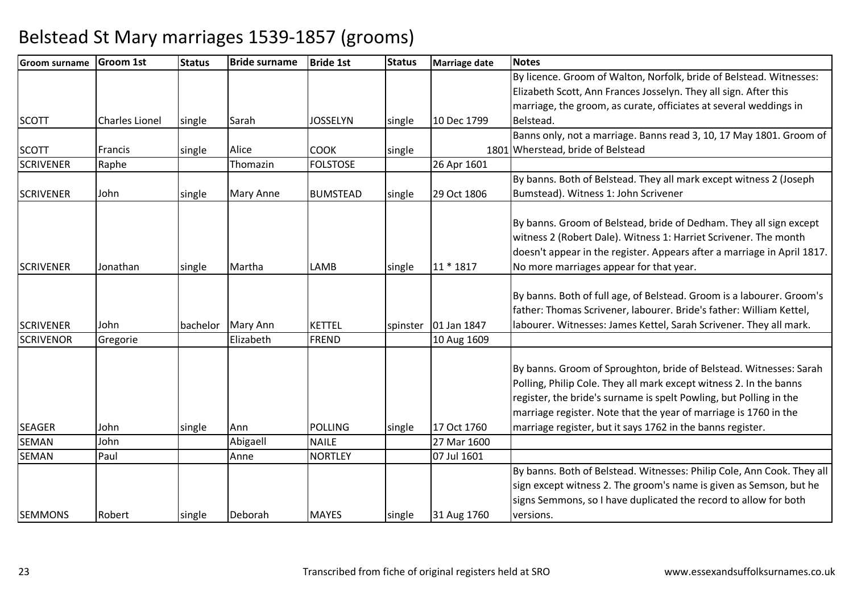| Groom surname    | <b>Groom 1st</b>      | <b>Status</b> | <b>Bride surname</b> | <b>Bride 1st</b> | <b>Status</b> | <b>Marriage date</b>   | <b>Notes</b>                                                            |
|------------------|-----------------------|---------------|----------------------|------------------|---------------|------------------------|-------------------------------------------------------------------------|
|                  |                       |               |                      |                  |               |                        | By licence. Groom of Walton, Norfolk, bride of Belstead. Witnesses:     |
|                  |                       |               |                      |                  |               |                        | Elizabeth Scott, Ann Frances Josselyn. They all sign. After this        |
|                  |                       |               |                      |                  |               |                        | marriage, the groom, as curate, officiates at several weddings in       |
| <b>SCOTT</b>     | <b>Charles Lionel</b> | single        | Sarah                | <b>JOSSELYN</b>  | single        | 10 Dec 1799            | Belstead.                                                               |
|                  |                       |               |                      |                  |               |                        | Banns only, not a marriage. Banns read 3, 10, 17 May 1801. Groom of     |
| <b>SCOTT</b>     | Francis               | single        | Alice                | <b>COOK</b>      | single        |                        | 1801 Wherstead, bride of Belstead                                       |
| <b>SCRIVENER</b> | Raphe                 |               | Thomazin             | <b>FOLSTOSE</b>  |               | 26 Apr 1601            |                                                                         |
|                  |                       |               |                      |                  |               |                        | By banns. Both of Belstead. They all mark except witness 2 (Joseph      |
| <b>SCRIVENER</b> | John                  | single        | <b>Mary Anne</b>     | <b>BUMSTEAD</b>  | single        | 29 Oct 1806            | Bumstead). Witness 1: John Scrivener                                    |
|                  |                       |               |                      |                  |               |                        |                                                                         |
|                  |                       |               |                      |                  |               |                        | By banns. Groom of Belstead, bride of Dedham. They all sign except      |
|                  |                       |               |                      |                  |               |                        | witness 2 (Robert Dale). Witness 1: Harriet Scrivener. The month        |
|                  |                       |               |                      |                  |               |                        | doesn't appear in the register. Appears after a marriage in April 1817. |
| <b>SCRIVENER</b> | Jonathan              | single        | Martha               | LAMB             | single        | 11 * 1817              | No more marriages appear for that year.                                 |
|                  |                       |               |                      |                  |               |                        |                                                                         |
|                  |                       |               |                      |                  |               |                        | By banns. Both of full age, of Belstead. Groom is a labourer. Groom's   |
|                  |                       |               |                      |                  |               |                        | father: Thomas Scrivener, labourer. Bride's father: William Kettel,     |
| <b>SCRIVENER</b> | John                  | bachelor      | Mary Ann             | <b>KETTEL</b>    |               | spinster   01 Jan 1847 | labourer. Witnesses: James Kettel, Sarah Scrivener. They all mark.      |
| <b>SCRIVENOR</b> | Gregorie              |               | Elizabeth            | <b>FREND</b>     |               | 10 Aug 1609            |                                                                         |
|                  |                       |               |                      |                  |               |                        |                                                                         |
|                  |                       |               |                      |                  |               |                        | By banns. Groom of Sproughton, bride of Belstead. Witnesses: Sarah      |
|                  |                       |               |                      |                  |               |                        | Polling, Philip Cole. They all mark except witness 2. In the banns      |
|                  |                       |               |                      |                  |               |                        | register, the bride's surname is spelt Powling, but Polling in the      |
|                  |                       |               |                      |                  |               |                        | marriage register. Note that the year of marriage is 1760 in the        |
| <b>SEAGER</b>    | John                  | single        | Ann                  | <b>POLLING</b>   | single        | 17 Oct 1760            | marriage register, but it says 1762 in the banns register.              |
| <b>SEMAN</b>     | John                  |               | Abigaell             | <b>NAILE</b>     |               | 27 Mar 1600            |                                                                         |
| <b>SEMAN</b>     | Paul                  |               | Anne                 | <b>NORTLEY</b>   |               | 07 Jul 1601            |                                                                         |
|                  |                       |               |                      |                  |               |                        | By banns. Both of Belstead. Witnesses: Philip Cole, Ann Cook. They all  |
|                  |                       |               |                      |                  |               |                        | sign except witness 2. The groom's name is given as Semson, but he      |
|                  |                       |               |                      |                  |               |                        | signs Semmons, so I have duplicated the record to allow for both        |
| <b>SEMMONS</b>   | Robert                | single        | Deborah              | <b>MAYES</b>     | single        | 31 Aug 1760            | versions.                                                               |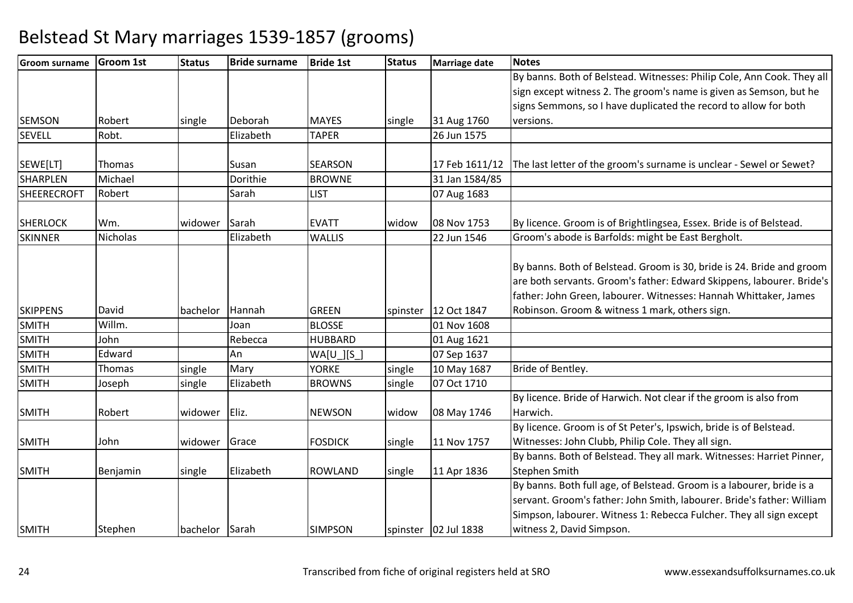| <b>Groom surname</b> | <b>Groom 1st</b> | <b>Status</b>  | <b>Bride surname</b> | <b>Bride 1st</b> | <b>Status</b> | <b>Marriage date</b>   | <b>Notes</b>                                                           |
|----------------------|------------------|----------------|----------------------|------------------|---------------|------------------------|------------------------------------------------------------------------|
|                      |                  |                |                      |                  |               |                        | By banns. Both of Belstead. Witnesses: Philip Cole, Ann Cook. They all |
|                      |                  |                |                      |                  |               |                        | sign except witness 2. The groom's name is given as Semson, but he     |
|                      |                  |                |                      |                  |               |                        | signs Semmons, so I have duplicated the record to allow for both       |
| <b>SEMSON</b>        | Robert           | single         | Deborah              | <b>MAYES</b>     | single        | 31 Aug 1760            | versions.                                                              |
| <b>SEVELL</b>        | Robt.            |                | Elizabeth            | <b>TAPER</b>     |               | 26 Jun 1575            |                                                                        |
| SEWE[LT]             | Thomas           |                | Susan                | <b>SEARSON</b>   |               | 17 Feb 1611/12         | The last letter of the groom's surname is unclear - Sewel or Sewet?    |
| <b>SHARPLEN</b>      | Michael          |                | Dorithie             | <b>BROWNE</b>    |               | 31 Jan 1584/85         |                                                                        |
| <b>SHEERECROFT</b>   | Robert           |                | Sarah                | <b>LIST</b>      |               | 07 Aug 1683            |                                                                        |
| <b>SHERLOCK</b>      | Wm.              | widower        | Sarah                | <b>EVATT</b>     | widow         | 08 Nov 1753            | By licence. Groom is of Brightlingsea, Essex. Bride is of Belstead.    |
| <b>SKINNER</b>       | Nicholas         |                | Elizabeth            | <b>WALLIS</b>    |               | 22 Jun 1546            | Groom's abode is Barfolds: might be East Bergholt.                     |
|                      |                  |                |                      |                  |               |                        |                                                                        |
|                      |                  |                |                      |                  |               |                        | By banns. Both of Belstead. Groom is 30, bride is 24. Bride and groom  |
|                      |                  |                |                      |                  |               |                        | are both servants. Groom's father: Edward Skippens, labourer. Bride's  |
|                      |                  |                |                      |                  |               |                        | father: John Green, labourer. Witnesses: Hannah Whittaker, James       |
| <b>SKIPPENS</b>      | David            | bachelor       | Hannah               | <b>GREEN</b>     |               | spinster   12 Oct 1847 | Robinson. Groom & witness 1 mark, others sign.                         |
| <b>SMITH</b>         | Willm.           |                | Joan                 | <b>BLOSSE</b>    |               | 01 Nov 1608            |                                                                        |
| <b>SMITH</b>         | John             |                | Rebecca              | <b>HUBBARD</b>   |               | 01 Aug 1621            |                                                                        |
| <b>SMITH</b>         | Edward           |                | An                   | $WA[U_l[S_l]$    |               | 07 Sep 1637            |                                                                        |
| <b>SMITH</b>         | Thomas           | single         | Mary                 | <b>YORKE</b>     | single        | 10 May 1687            | Bride of Bentley.                                                      |
| <b>SMITH</b>         | Joseph           | single         | Elizabeth            | <b>BROWNS</b>    | single        | 07 Oct 1710            |                                                                        |
|                      |                  |                |                      |                  |               |                        | By licence. Bride of Harwich. Not clear if the groom is also from      |
| <b>SMITH</b>         | Robert           | widower        | Eliz.                | <b>NEWSON</b>    | widow         | 08 May 1746            | Harwich.                                                               |
|                      |                  |                |                      |                  |               |                        | By licence. Groom is of St Peter's, Ipswich, bride is of Belstead.     |
| <b>SMITH</b>         | John             | widower        | Grace                | <b>FOSDICK</b>   | single        | 11 Nov 1757            | Witnesses: John Clubb, Philip Cole. They all sign.                     |
|                      |                  |                |                      |                  |               |                        | By banns. Both of Belstead. They all mark. Witnesses: Harriet Pinner,  |
| <b>SMITH</b>         | Benjamin         | single         | Elizabeth            | <b>ROWLAND</b>   | single        | 11 Apr 1836            | <b>Stephen Smith</b>                                                   |
|                      |                  |                |                      |                  |               |                        | By banns. Both full age, of Belstead. Groom is a labourer, bride is a  |
|                      |                  |                |                      |                  |               |                        | servant. Groom's father: John Smith, labourer. Bride's father: William |
|                      |                  |                |                      |                  |               |                        | Simpson, labourer. Witness 1: Rebecca Fulcher. They all sign except    |
| <b>SMITH</b>         | Stephen          | bachelor Sarah |                      | <b>SIMPSON</b>   |               | spinster   02 Jul 1838 | witness 2, David Simpson.                                              |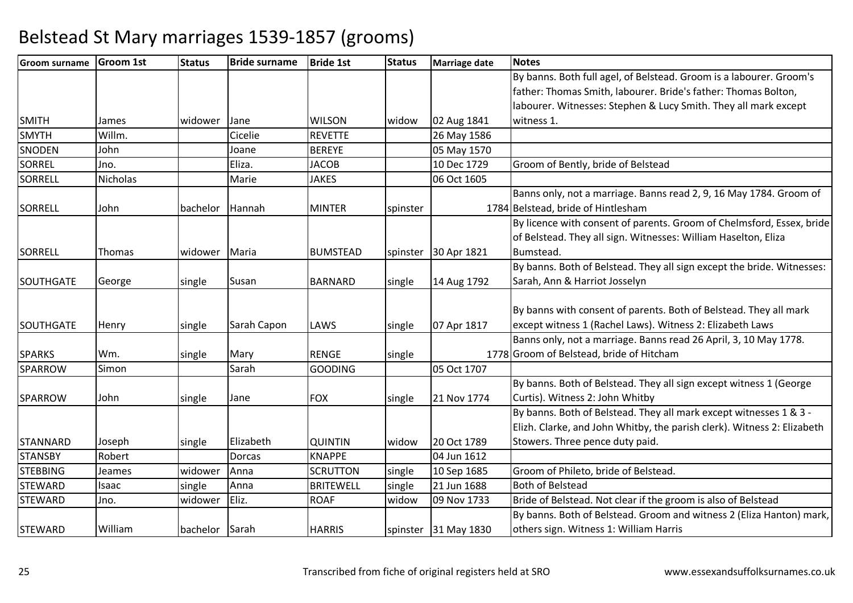| <b>Groom surname</b> | <b>Groom 1st</b> | <b>Status</b> | <b>Bride surname</b> | <b>Bride 1st</b> | <b>Status</b> | <b>Marriage date</b> | <b>Notes</b>                                                            |
|----------------------|------------------|---------------|----------------------|------------------|---------------|----------------------|-------------------------------------------------------------------------|
|                      |                  |               |                      |                  |               |                      | By banns. Both full agel, of Belstead. Groom is a labourer. Groom's     |
|                      |                  |               |                      |                  |               |                      | father: Thomas Smith, labourer. Bride's father: Thomas Bolton,          |
|                      |                  |               |                      |                  |               |                      | labourer. Witnesses: Stephen & Lucy Smith. They all mark except         |
| <b>SMITH</b>         | James            | widower       | Jane                 | <b>WILSON</b>    | widow         | 02 Aug 1841          | witness 1.                                                              |
| <b>SMYTH</b>         | Willm.           |               | Cicelie              | <b>REVETTE</b>   |               | 26 May 1586          |                                                                         |
| <b>SNODEN</b>        | John             |               | Joane                | <b>BEREYE</b>    |               | 05 May 1570          |                                                                         |
| <b>SORREL</b>        | Jno.             |               | Eliza.               | <b>JACOB</b>     |               | 10 Dec 1729          | Groom of Bently, bride of Belstead                                      |
| <b>SORRELL</b>       | <b>Nicholas</b>  |               | Marie                | <b>JAKES</b>     |               | 06 Oct 1605          |                                                                         |
|                      |                  |               |                      |                  |               |                      | Banns only, not a marriage. Banns read 2, 9, 16 May 1784. Groom of      |
| <b>SORRELL</b>       | John             | bachelor      | Hannah               | <b>MINTER</b>    | spinster      |                      | 1784 Belstead, bride of Hintlesham                                      |
|                      |                  |               |                      |                  |               |                      | By licence with consent of parents. Groom of Chelmsford, Essex, bride   |
|                      |                  |               |                      |                  |               |                      | of Belstead. They all sign. Witnesses: William Haselton, Eliza          |
| <b>SORRELL</b>       | Thomas           | widower       | Maria                | <b>BUMSTEAD</b>  | spinster      | 30 Apr 1821          | Bumstead.                                                               |
|                      |                  |               |                      |                  |               |                      | By banns. Both of Belstead. They all sign except the bride. Witnesses:  |
| <b>SOUTHGATE</b>     | George           | single        | Susan                | <b>BARNARD</b>   | single        | 14 Aug 1792          | Sarah, Ann & Harriot Josselyn                                           |
|                      |                  |               |                      |                  |               |                      |                                                                         |
|                      |                  |               |                      |                  |               |                      | By banns with consent of parents. Both of Belstead. They all mark       |
| <b>SOUTHGATE</b>     | Henry            | single        | Sarah Capon          | LAWS             | single        | 07 Apr 1817          | except witness 1 (Rachel Laws). Witness 2: Elizabeth Laws               |
|                      |                  |               |                      |                  |               |                      | Banns only, not a marriage. Banns read 26 April, 3, 10 May 1778.        |
| <b>SPARKS</b>        | Wm.              | single        | Mary                 | <b>RENGE</b>     | single        |                      | 1778 Groom of Belstead, bride of Hitcham                                |
| SPARROW              | Simon            |               | Sarah                | <b>GOODING</b>   |               | 05 Oct 1707          |                                                                         |
|                      |                  |               |                      |                  |               |                      | By banns. Both of Belstead. They all sign except witness 1 (George      |
| <b>SPARROW</b>       | John             | single        | Jane                 | <b>FOX</b>       | single        | 21 Nov 1774          | Curtis). Witness 2: John Whitby                                         |
|                      |                  |               |                      |                  |               |                      | By banns. Both of Belstead. They all mark except witnesses 1 & 3 -      |
|                      |                  |               |                      |                  |               |                      | Elizh. Clarke, and John Whitby, the parish clerk). Witness 2: Elizabeth |
| <b>STANNARD</b>      | Joseph           | single        | Elizabeth            | <b>QUINTIN</b>   | widow         | 20 Oct 1789          | Stowers. Three pence duty paid.                                         |
| <b>STANSBY</b>       | Robert           |               | <b>Dorcas</b>        | <b>KNAPPE</b>    |               | 04 Jun 1612          |                                                                         |
| <b>STEBBING</b>      | Jeames           | widower       | Anna                 | <b>SCRUTTON</b>  | single        | 10 Sep 1685          | Groom of Phileto, bride of Belstead.                                    |
| <b>STEWARD</b>       | Isaac            | single        | Anna                 | <b>BRITEWELL</b> | single        | 21 Jun 1688          | <b>Both of Belstead</b>                                                 |
| <b>STEWARD</b>       | Jno.             | widower       | Eliz.                | <b>ROAF</b>      | widow         | 09 Nov 1733          | Bride of Belstead. Not clear if the groom is also of Belstead           |
|                      |                  |               |                      |                  |               |                      | By banns. Both of Belstead. Groom and witness 2 (Eliza Hanton) mark,    |
| <b>STEWARD</b>       | William          | bachelor      | Sarah                | <b>HARRIS</b>    | spinster      | 31 May 1830          | others sign. Witness 1: William Harris                                  |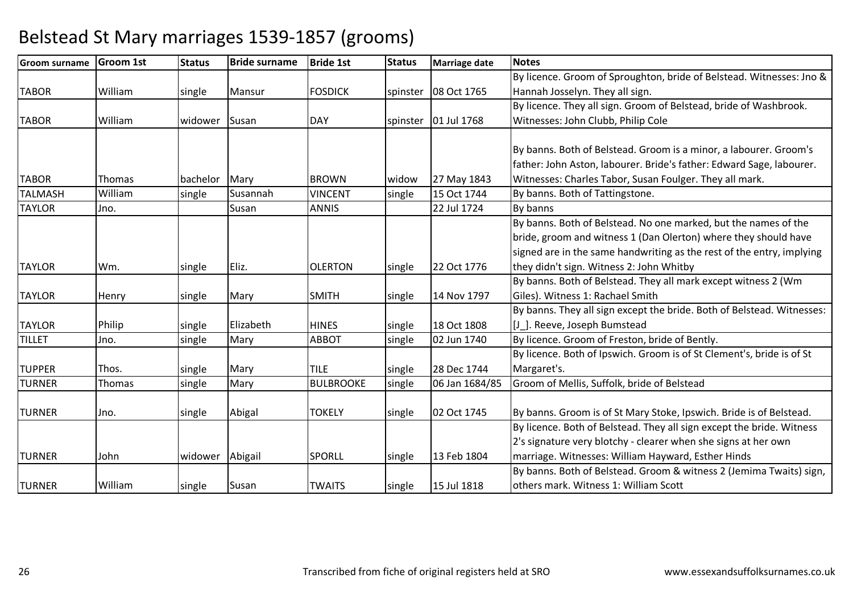#### **Groom surname Groom 1st Status Bride surname Bride 1st Status Marriage date Notes** TABOR Williamm single Mansur FOSDICK spinster 08 Oct 1765 By licence. Groom of Sproughton, bride of Belstead. Witnesses: Jno & Hannah Josselyn. They all sign. By licence. They all sign. Groom of Belstead, bride of Washbrook. TABOR Williamwidower Susan Mark DAY Spinster 101 Jul 1768 Witnesses: John Clubb, Philip ColeTABORR Thomas bachelor Mary BROWN widow 27 May 1843 By banns. Both of Belstead. Groom is a minor, a labourer. Groom's father: John Aston, labourer. Bride's father: Edward Sage, labourer. Witnesses: Charles Tabor, Susan Foulger. They all mark.TALMASHWilliam<br>Jno. single Susannah VINCENT single 15 Oct 1744 By banns. Both of Tattingstone.<br>Susan ANNIS 22 Jul 1724 By banns TAYLORR Jno. Susan ANNIS 22 Jul 1724 By banns TAYLORR Wm. Single Eliz. OLERTON single 22 Oct 1776 By banns. Both of Belstead. No one marked, but the names of the bride, groom and witness 1 (Dan Olerton) where they should have signed are in the same handwriting as the rest of the entry, implying they didn't sign. Witness 2: John Whitby By banns. Both of Belstead. They all mark except witness 2 (Wm TAYLORR Henry single Mary SMITH single 14 Nov 1797 Giles). Witness 1: Rachael Smith By banns. They all sign except the bride. Both of Belstead. Witnesses: TAYLORR Philip single Elizabeth HINES single 18 Oct 1808 [J ]. Reeve, Joseph Bumstead By licence. Groom of Freston, bride of Bently. TILLETJno. Single Mary **ABBOT** single 02 Jun 1740 TUPPERR Thos. Single Mary TILE single 28 Dec 1744 By licence. Both of Ipswich. Groom is of St Clement's, bride is of St Margaret's.TURNERThomas Single Mary BULBROOKE single 06 Jan 1684/85 Groom of Mellis, Suffolk, bride of Belstead TURNER Jno. single Abigal TOKELY single 02 Oct 1745 By banns. Groom is of St Mary Stoke, Ipswich. Bride is of Belstead. TURNERR John Widower Abigail SPORLL Single 13 Feb 1804 By licence. Both of Belstead. They all sign except the bride. Witness 2's signature very blotchy - clearer when she signs at her own marriage. Witnesses: William Hayward, Esther HindsTURNER Williamm Single Susan TWAITS Single 15 Jul 1818 By banns. Both of Belstead. Groom & witness 2 (Jemima Twaits) sign, others mark. Witness 1: William Scott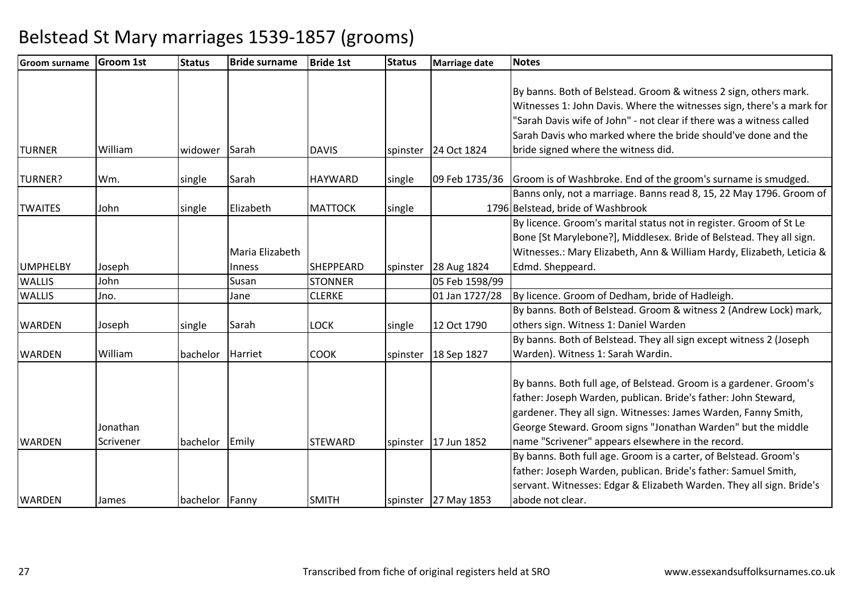| <b>Groom surname</b> | <b>Groom 1st</b> | <b>Status</b>    | <b>Bride surname</b> | <b>Bride 1st</b> | <b>Status</b> | Marriage date          | <b>Notes</b>                                                          |
|----------------------|------------------|------------------|----------------------|------------------|---------------|------------------------|-----------------------------------------------------------------------|
|                      |                  |                  |                      |                  |               |                        |                                                                       |
|                      |                  |                  |                      |                  |               |                        | By banns. Both of Belstead. Groom & witness 2 sign, others mark.      |
|                      |                  |                  |                      |                  |               |                        | Witnesses 1: John Davis. Where the witnesses sign, there's a mark for |
|                      |                  |                  |                      |                  |               |                        | "Sarah Davis wife of John" - not clear if there was a witness called  |
|                      |                  |                  |                      |                  |               |                        | Sarah Davis who marked where the bride should've done and the         |
| <b>TURNER</b>        | William          | widower          | Sarah                | <b>DAVIS</b>     |               | spinster   24 Oct 1824 | bride signed where the witness did.                                   |
|                      |                  |                  |                      |                  |               |                        |                                                                       |
| <b>TURNER?</b>       | Wm.              | single           | Sarah                | <b>HAYWARD</b>   | single        | 09 Feb 1735/36         | Groom is of Washbroke. End of the groom's surname is smudged.         |
|                      |                  |                  |                      |                  |               |                        | Banns only, not a marriage. Banns read 8, 15, 22 May 1796. Groom of   |
| <b>TWAITES</b>       | John             | single           | Elizabeth            | <b>MATTOCK</b>   | single        |                        | 1796 Belstead, bride of Washbrook                                     |
|                      |                  |                  |                      |                  |               |                        | By licence. Groom's marital status not in register. Groom of St Le    |
|                      |                  |                  |                      |                  |               |                        | Bone [St Marylebone?], Middlesex. Bride of Belstead. They all sign.   |
|                      |                  |                  | Maria Elizabeth      |                  |               |                        | Witnesses.: Mary Elizabeth, Ann & William Hardy, Elizabeth, Leticia & |
| <b>UMPHELBY</b>      | Joseph           |                  | <b>Inness</b>        | <b>SHEPPEARD</b> | spinster      | 28 Aug 1824            | Edmd. Sheppeard.                                                      |
| <b>WALLIS</b>        | John             |                  | Susan                | <b>STONNER</b>   |               | 05 Feb 1598/99         |                                                                       |
| <b>WALLIS</b>        | Jno.             |                  | Jane                 | <b>CLERKE</b>    |               | 01 Jan 1727/28         | By licence. Groom of Dedham, bride of Hadleigh.                       |
|                      |                  |                  |                      |                  |               |                        | By banns. Both of Belstead. Groom & witness 2 (Andrew Lock) mark,     |
| <b>WARDEN</b>        | Joseph           | single           | Sarah                | <b>LOCK</b>      | single        | 12 Oct 1790            | others sign. Witness 1: Daniel Warden                                 |
|                      |                  |                  |                      |                  |               |                        | By banns. Both of Belstead. They all sign except witness 2 (Joseph    |
| <b>WARDEN</b>        | William          | bachelor Harriet |                      | <b>COOK</b>      |               | spinster   18 Sep 1827 | Warden). Witness 1: Sarah Wardin.                                     |
|                      |                  |                  |                      |                  |               |                        |                                                                       |
|                      |                  |                  |                      |                  |               |                        | By banns. Both full age, of Belstead. Groom is a gardener. Groom's    |
|                      |                  |                  |                      |                  |               |                        | father: Joseph Warden, publican. Bride's father: John Steward,        |
|                      |                  |                  |                      |                  |               |                        | gardener. They all sign. Witnesses: James Warden, Fanny Smith,        |
|                      | Jonathan         |                  |                      |                  |               |                        | George Steward. Groom signs "Jonathan Warden" but the middle          |
| <b>WARDEN</b>        | Scrivener        | bachelor Emily   |                      | <b>STEWARD</b>   |               | spinster   17 Jun 1852 | name "Scrivener" appears elsewhere in the record.                     |
|                      |                  |                  |                      |                  |               |                        | By banns. Both full age. Groom is a carter, of Belstead. Groom's      |
|                      |                  |                  |                      |                  |               |                        | father: Joseph Warden, publican. Bride's father: Samuel Smith,        |
|                      |                  |                  |                      |                  |               |                        | servant. Witnesses: Edgar & Elizabeth Warden. They all sign. Bride's  |
| <b>WARDEN</b>        | James            | bachelor Fanny   |                      | <b>SMITH</b>     |               | spinster 27 May 1853   | abode not clear.                                                      |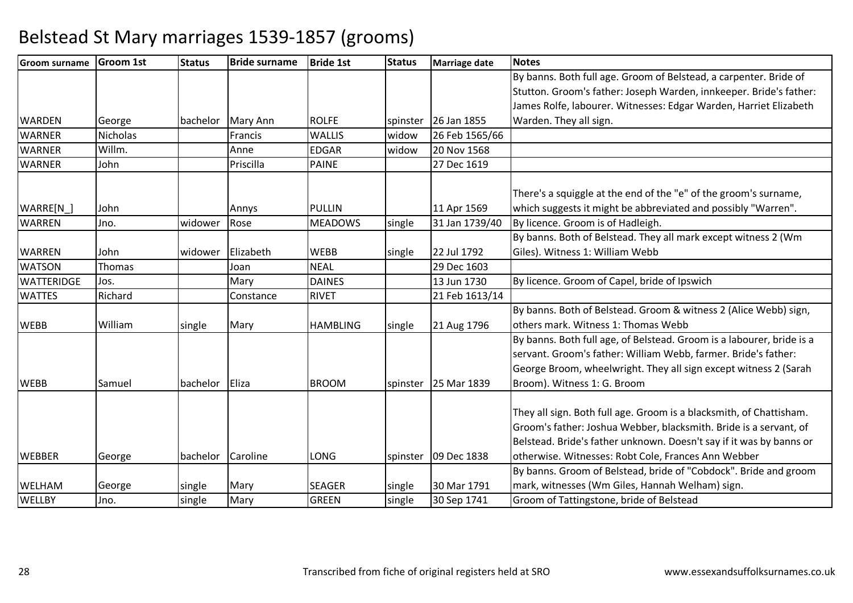| <b>Groom surname</b> | <b>Groom 1st</b> | <b>Status</b> | <b>Bride surname</b> | <b>Bride 1st</b> | <b>Status</b> | Marriage date  | <b>Notes</b>                                                          |
|----------------------|------------------|---------------|----------------------|------------------|---------------|----------------|-----------------------------------------------------------------------|
|                      |                  |               |                      |                  |               |                | By banns. Both full age. Groom of Belstead, a carpenter. Bride of     |
|                      |                  |               |                      |                  |               |                | Stutton. Groom's father: Joseph Warden, innkeeper. Bride's father:    |
|                      |                  |               |                      |                  |               |                | James Rolfe, labourer. Witnesses: Edgar Warden, Harriet Elizabeth     |
| <b>WARDEN</b>        | George           | bachelor      | Mary Ann             | <b>ROLFE</b>     | spinster      | 26 Jan 1855    | Warden. They all sign.                                                |
| <b>WARNER</b>        | <b>Nicholas</b>  |               | Francis              | <b>WALLIS</b>    | widow         | 26 Feb 1565/66 |                                                                       |
| <b>WARNER</b>        | Willm.           |               | Anne                 | <b>EDGAR</b>     | widow         | 20 Nov 1568    |                                                                       |
| <b>WARNER</b>        | John             |               | Priscilla            | PAINE            |               | 27 Dec 1619    |                                                                       |
|                      |                  |               |                      |                  |               |                |                                                                       |
|                      |                  |               |                      |                  |               |                | There's a squiggle at the end of the "e" of the groom's surname,      |
| WARRE[N              | John             |               | Annys                | <b>PULLIN</b>    |               | 11 Apr 1569    | which suggests it might be abbreviated and possibly "Warren".         |
| <b>WARREN</b>        | Jno.             | widower       | Rose                 | <b>MEADOWS</b>   | single        | 31 Jan 1739/40 | By licence. Groom is of Hadleigh.                                     |
|                      |                  |               |                      |                  |               |                | By banns. Both of Belstead. They all mark except witness 2 (Wm        |
| <b>WARREN</b>        | John             | widower       | Elizabeth            | <b>WEBB</b>      | single        | 22 Jul 1792    | Giles). Witness 1: William Webb                                       |
| <b>WATSON</b>        | Thomas           |               | Joan                 | <b>NEAL</b>      |               | 29 Dec 1603    |                                                                       |
| <b>WATTERIDGE</b>    | Jos.             |               | Mary                 | <b>DAINES</b>    |               | 13 Jun 1730    | By licence. Groom of Capel, bride of Ipswich                          |
| <b>WATTES</b>        | Richard          |               | Constance            | <b>RIVET</b>     |               | 21 Feb 1613/14 |                                                                       |
|                      |                  |               |                      |                  |               |                | By banns. Both of Belstead. Groom & witness 2 (Alice Webb) sign,      |
| <b>WEBB</b>          | William          | single        | Mary                 | <b>HAMBLING</b>  | single        | 21 Aug 1796    | others mark. Witness 1: Thomas Webb                                   |
|                      |                  |               |                      |                  |               |                | By banns. Both full age, of Belstead. Groom is a labourer, bride is a |
|                      |                  |               |                      |                  |               |                | servant. Groom's father: William Webb, farmer. Bride's father:        |
|                      |                  |               |                      |                  |               |                | George Broom, wheelwright. They all sign except witness 2 (Sarah      |
| <b>WEBB</b>          | Samuel           | bachelor      | Eliza                | <b>BROOM</b>     | spinster      | 25 Mar 1839    | Broom). Witness 1: G. Broom                                           |
|                      |                  |               |                      |                  |               |                |                                                                       |
|                      |                  |               |                      |                  |               |                | They all sign. Both full age. Groom is a blacksmith, of Chattisham.   |
|                      |                  |               |                      |                  |               |                | Groom's father: Joshua Webber, blacksmith. Bride is a servant, of     |
|                      |                  |               |                      |                  |               |                | Belstead. Bride's father unknown. Doesn't say if it was by banns or   |
| <b>WEBBER</b>        | George           | bachelor      | Caroline             | LONG             | spinster      | 09 Dec 1838    | otherwise. Witnesses: Robt Cole, Frances Ann Webber                   |
|                      |                  |               |                      |                  |               |                | By banns. Groom of Belstead, bride of "Cobdock". Bride and groom      |
| <b>WELHAM</b>        | George           | single        | Mary                 | <b>SEAGER</b>    | single        | 30 Mar 1791    | mark, witnesses (Wm Giles, Hannah Welham) sign.                       |
| <b>WELLBY</b>        | Jno.             | single        | Mary                 | <b>GREEN</b>     | single        | 30 Sep 1741    | Groom of Tattingstone, bride of Belstead                              |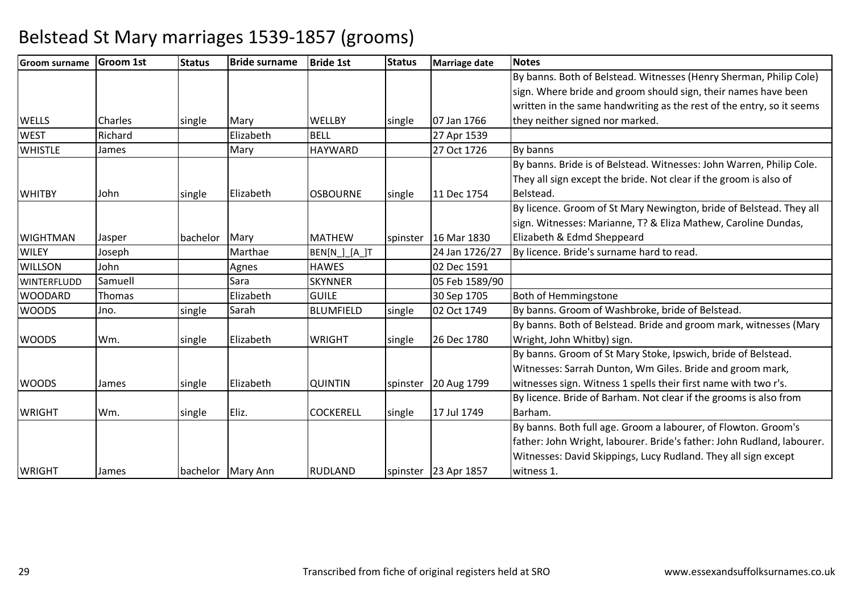| <b>Groom surname</b> | <b>Groom 1st</b> | <b>Status</b> | <b>Bride surname</b> | <b>Bride 1st</b> | <b>Status</b> | <b>Marriage date</b>   | <b>Notes</b>                                                           |
|----------------------|------------------|---------------|----------------------|------------------|---------------|------------------------|------------------------------------------------------------------------|
|                      |                  |               |                      |                  |               |                        | By banns. Both of Belstead. Witnesses (Henry Sherman, Philip Cole)     |
|                      |                  |               |                      |                  |               |                        | sign. Where bride and groom should sign, their names have been         |
|                      |                  |               |                      |                  |               |                        | written in the same handwriting as the rest of the entry, so it seems  |
| <b>WELLS</b>         | <b>Charles</b>   | single        | Mary                 | <b>WELLBY</b>    | single        | 07 Jan 1766            | they neither signed nor marked.                                        |
| <b>WEST</b>          | Richard          |               | Elizabeth            | <b>BELL</b>      |               | 27 Apr 1539            |                                                                        |
| <b>WHISTLE</b>       | James            |               | Mary                 | <b>HAYWARD</b>   |               | 27 Oct 1726            | By banns                                                               |
|                      |                  |               |                      |                  |               |                        | By banns. Bride is of Belstead. Witnesses: John Warren, Philip Cole.   |
|                      |                  |               |                      |                  |               |                        | They all sign except the bride. Not clear if the groom is also of      |
| <b>WHITBY</b>        | John             | single        | Elizabeth            | <b>OSBOURNE</b>  | single        | 11 Dec 1754            | Belstead.                                                              |
|                      |                  |               |                      |                  |               |                        | By licence. Groom of St Mary Newington, bride of Belstead. They all    |
|                      |                  |               |                      |                  |               |                        | sign. Witnesses: Marianne, T? & Eliza Mathew, Caroline Dundas,         |
| <b>WIGHTMAN</b>      | Jasper           | bachelor Mary |                      | <b>MATHEW</b>    |               | spinster   16 Mar 1830 | Elizabeth & Edmd Sheppeard                                             |
| <b>WILEY</b>         | Joseph           |               | Marthae              | BEN[N_]_[A_]T    |               | 24 Jan 1726/27         | By licence. Bride's surname hard to read.                              |
| <b>WILLSON</b>       | John             |               | Agnes                | <b>HAWES</b>     |               | 02 Dec 1591            |                                                                        |
| <b>WINTERFLUDD</b>   | Samuell          |               | Sara                 | <b>SKYNNER</b>   |               | 05 Feb 1589/90         |                                                                        |
| <b>WOODARD</b>       | Thomas           |               | Elizabeth            | <b>GUILE</b>     |               | 30 Sep 1705            | <b>Both of Hemmingstone</b>                                            |
| <b>WOODS</b>         | Jno.             | single        | Sarah                | <b>BLUMFIELD</b> | single        | 02 Oct 1749            | By banns. Groom of Washbroke, bride of Belstead.                       |
|                      |                  |               |                      |                  |               |                        | By banns. Both of Belstead. Bride and groom mark, witnesses (Mary      |
| <b>WOODS</b>         | Wm.              | single        | Elizabeth            | <b>WRIGHT</b>    | single        | 26 Dec 1780            | Wright, John Whitby) sign.                                             |
|                      |                  |               |                      |                  |               |                        | By banns. Groom of St Mary Stoke, Ipswich, bride of Belstead.          |
|                      |                  |               |                      |                  |               |                        | Witnesses: Sarrah Dunton, Wm Giles. Bride and groom mark,              |
| <b>WOODS</b>         | James            | single        | Elizabeth            | <b>QUINTIN</b>   | spinster      | 20 Aug 1799            | witnesses sign. Witness 1 spells their first name with two r's.        |
|                      |                  |               |                      |                  |               |                        | By licence. Bride of Barham. Not clear if the grooms is also from      |
| <b>WRIGHT</b>        | Wm.              | single        | Eliz.                | <b>COCKERELL</b> | single        | 17 Jul 1749            | Barham.                                                                |
|                      |                  |               |                      |                  |               |                        | By banns. Both full age. Groom a labourer, of Flowton. Groom's         |
|                      |                  |               |                      |                  |               |                        | father: John Wright, labourer. Bride's father: John Rudland, labourer. |
|                      |                  |               |                      |                  |               |                        | Witnesses: David Skippings, Lucy Rudland. They all sign except         |
| <b>WRIGHT</b>        | James            |               | bachelor Mary Ann    | <b>RUDLAND</b>   |               | spinster   23 Apr 1857 | witness 1.                                                             |